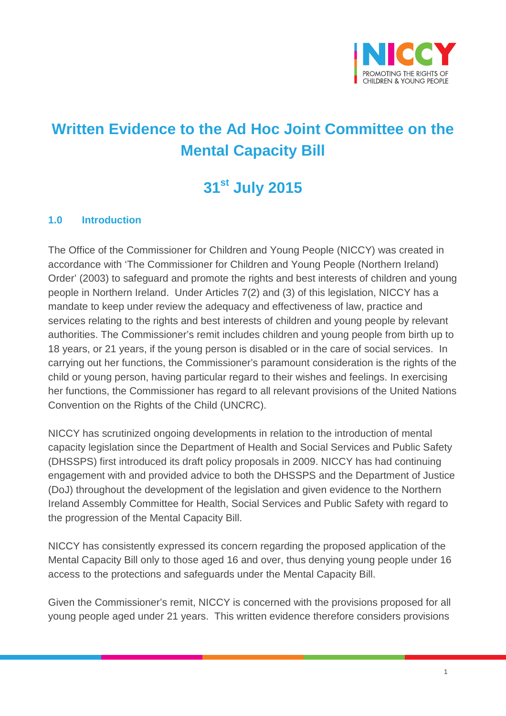

## **Written Evidence to the Ad Hoc Joint Committee on the Mental Capacity Bill**

# **31st July 2015**

#### **1.0 Introduction**

The Office of the Commissioner for Children and Young People (NICCY) was created in accordance with 'The Commissioner for Children and Young People (Northern Ireland) Order' (2003) to safeguard and promote the rights and best interests of children and young people in Northern Ireland. Under Articles 7(2) and (3) of this legislation, NICCY has a mandate to keep under review the adequacy and effectiveness of law, practice and services relating to the rights and best interests of children and young people by relevant authorities. The Commissioner's remit includes children and young people from birth up to 18 years, or 21 years, if the young person is disabled or in the care of social services. In carrying out her functions, the Commissioner's paramount consideration is the rights of the child or young person, having particular regard to their wishes and feelings. In exercising her functions, the Commissioner has regard to all relevant provisions of the United Nations Convention on the Rights of the Child (UNCRC).

NICCY has scrutinized ongoing developments in relation to the introduction of mental capacity legislation since the Department of Health and Social Services and Public Safety (DHSSPS) first introduced its draft policy proposals in 2009. NICCY has had continuing engagement with and provided advice to both the DHSSPS and the Department of Justice (DoJ) throughout the development of the legislation and given evidence to the Northern Ireland Assembly Committee for Health, Social Services and Public Safety with regard to the progression of the Mental Capacity Bill.

NICCY has consistently expressed its concern regarding the proposed application of the Mental Capacity Bill only to those aged 16 and over, thus denying young people under 16 access to the protections and safeguards under the Mental Capacity Bill.

Given the Commissioner's remit, NICCY is concerned with the provisions proposed for all young people aged under 21 years. This written evidence therefore considers provisions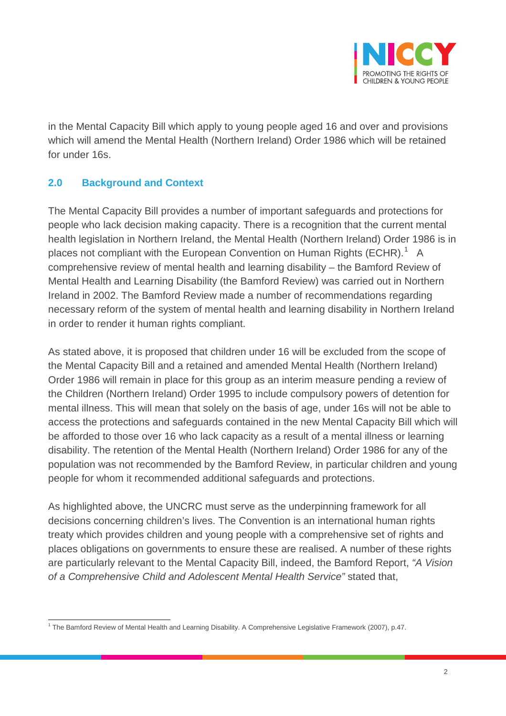

in the Mental Capacity Bill which apply to young people aged 16 and over and provisions which will amend the Mental Health (Northern Ireland) Order 1986 which will be retained for under 16s.

#### **2.0 Background and Context**

The Mental Capacity Bill provides a number of important safeguards and protections for people who lack decision making capacity. There is a recognition that the current mental health legislation in Northern Ireland, the Mental Health (Northern Ireland) Order 1986 is in places not compliant with the European Convention on Human Rights (ECHR).<sup>[1](#page-1-0)</sup> A comprehensive review of mental health and learning disability – the Bamford Review of Mental Health and Learning Disability (the Bamford Review) was carried out in Northern Ireland in 2002. The Bamford Review made a number of recommendations regarding necessary reform of the system of mental health and learning disability in Northern Ireland in order to render it human rights compliant.

As stated above, it is proposed that children under 16 will be excluded from the scope of the Mental Capacity Bill and a retained and amended Mental Health (Northern Ireland) Order 1986 will remain in place for this group as an interim measure pending a review of the Children (Northern Ireland) Order 1995 to include compulsory powers of detention for mental illness. This will mean that solely on the basis of age, under 16s will not be able to access the protections and safeguards contained in the new Mental Capacity Bill which will be afforded to those over 16 who lack capacity as a result of a mental illness or learning disability. The retention of the Mental Health (Northern Ireland) Order 1986 for any of the population was not recommended by the Bamford Review, in particular children and young people for whom it recommended additional safeguards and protections.

As highlighted above, the UNCRC must serve as the underpinning framework for all decisions concerning children's lives. The Convention is an international human rights treaty which provides children and young people with a comprehensive set of rights and places obligations on governments to ensure these are realised. A number of these rights are particularly relevant to the Mental Capacity Bill, indeed, the Bamford Report, *"A Vision of a Comprehensive Child and Adolescent Mental Health Service"* stated that,

<span id="page-1-0"></span><sup>1</sup> The Bamford Review of Mental Health and Learning Disability. A Comprehensive Legislative Framework (2007), p.47.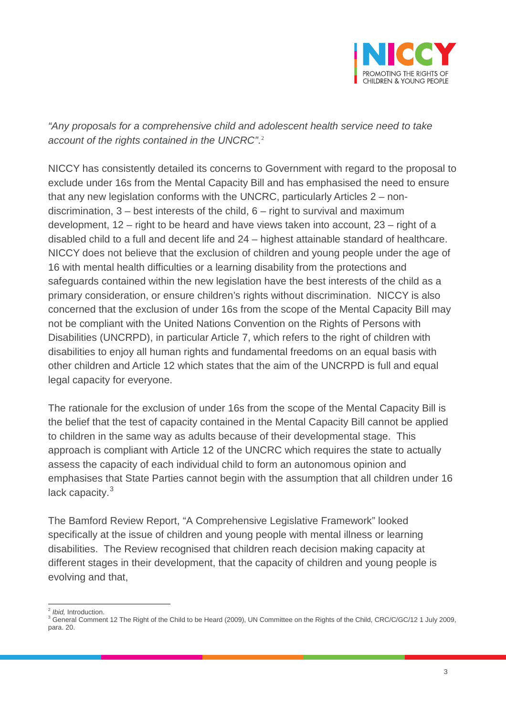

*"Any proposals for a comprehensive child and adolescent health service need to take account of the rights contained in the UNCRC"*. [2](#page-2-0)

NICCY has consistently detailed its concerns to Government with regard to the proposal to exclude under 16s from the Mental Capacity Bill and has emphasised the need to ensure that any new legislation conforms with the UNCRC, particularly Articles 2 – nondiscrimination,  $3 -$  best interests of the child,  $6 -$  right to survival and maximum development, 12 – right to be heard and have views taken into account, 23 – right of a disabled child to a full and decent life and 24 – highest attainable standard of healthcare. NICCY does not believe that the exclusion of children and young people under the age of 16 with mental health difficulties or a learning disability from the protections and safeguards contained within the new legislation have the best interests of the child as a primary consideration, or ensure children's rights without discrimination. NICCY is also concerned that the exclusion of under 16s from the scope of the Mental Capacity Bill may not be compliant with the United Nations Convention on the Rights of Persons with Disabilities (UNCRPD), in particular Article 7, which refers to the right of children with disabilities to enjoy all human rights and fundamental freedoms on an equal basis with other children and Article 12 which states that the aim of the UNCRPD is full and equal legal capacity for everyone.

The rationale for the exclusion of under 16s from the scope of the Mental Capacity Bill is the belief that the test of capacity contained in the Mental Capacity Bill cannot be applied to children in the same way as adults because of their developmental stage. This approach is compliant with Article 12 of the UNCRC which requires the state to actually assess the capacity of each individual child to form an autonomous opinion and emphasises that State Parties cannot begin with the assumption that all children under 16 lack capacity. $3$ 

The Bamford Review Report, "A Comprehensive Legislative Framework" looked specifically at the issue of children and young people with mental illness or learning disabilities. The Review recognised that children reach decision making capacity at different stages in their development, that the capacity of children and young people is evolving and that,

<span id="page-2-1"></span><span id="page-2-0"></span><sup>&</sup>lt;sup>2</sup> *Ibid,* Introduction.<br><sup>3</sup> General Comment 12 The Right of the Child to be Heard (2009), UN Committee on the Rights of the Child, CRC/C/GC/12 1 July 2009, para. 20.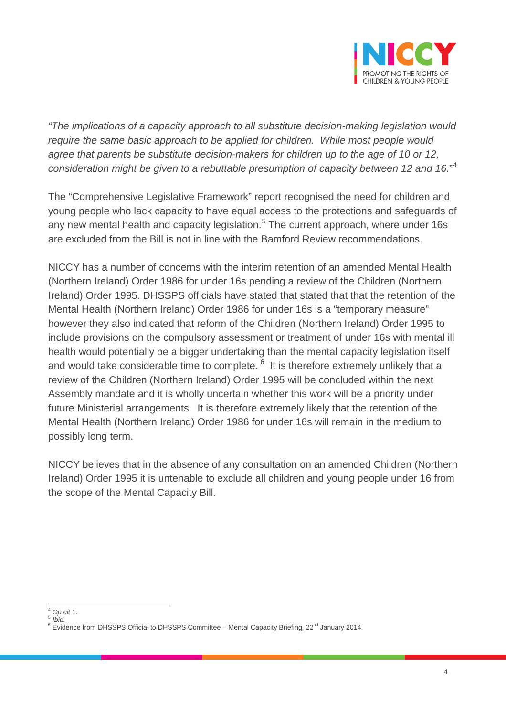

*"The implications of a capacity approach to all substitute decision-making legislation would require the same basic approach to be applied for children. While most people would agree that parents be substitute decision-makers for children up to the age of 10 or 12, consideration might be given to a rebuttable presumption of capacity between 12 and 16.*" [4](#page-3-0)

The "Comprehensive Legislative Framework" report recognised the need for children and young people who lack capacity to have equal access to the protections and safeguards of any new mental health and capacity legislation.<sup>[5](#page-3-1)</sup> The current approach, where under 16s are excluded from the Bill is not in line with the Bamford Review recommendations.

NICCY has a number of concerns with the interim retention of an amended Mental Health (Northern Ireland) Order 1986 for under 16s pending a review of the Children (Northern Ireland) Order 1995. DHSSPS officials have stated that stated that that the retention of the Mental Health (Northern Ireland) Order 1986 for under 16s is a "temporary measure" however they also indicated that reform of the Children (Northern Ireland) Order 1995 to include provisions on the compulsory assessment or treatment of under 16s with mental ill health would potentially be a bigger undertaking than the mental capacity legislation itself and would take considerable time to complete. <sup>[6](#page-3-2)</sup> It is therefore extremely unlikely that a review of the Children (Northern Ireland) Order 1995 will be concluded within the next Assembly mandate and it is wholly uncertain whether this work will be a priority under future Ministerial arrangements. It is therefore extremely likely that the retention of the Mental Health (Northern Ireland) Order 1986 for under 16s will remain in the medium to possibly long term.

NICCY believes that in the absence of any consultation on an amended Children (Northern Ireland) Order 1995 it is untenable to exclude all children and young people under 16 from the scope of the Mental Capacity Bill.

<span id="page-3-1"></span><span id="page-3-0"></span><sup>4</sup> *Op cit* 1. <sup>5</sup> *Ibid.*

<span id="page-3-2"></span><sup>&</sup>lt;sup>6</sup> Evidence from DHSSPS Official to DHSSPS Committee – Mental Capacity Briefing, 22<sup>nd</sup> January 2014.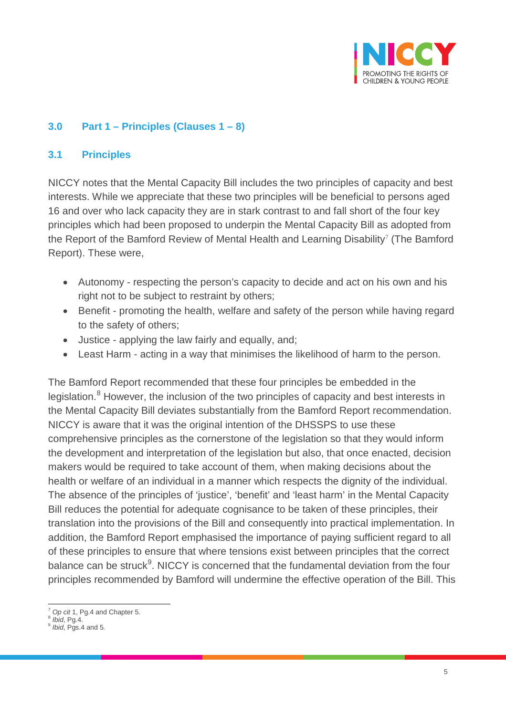

#### **3.0 Part 1 – Principles (Clauses 1 – 8)**

#### **3.1 Principles**

NICCY notes that the Mental Capacity Bill includes the two principles of capacity and best interests. While we appreciate that these two principles will be beneficial to persons aged 16 and over who lack capacity they are in stark contrast to and fall short of the four key principles which had been proposed to underpin the Mental Capacity Bill as adopted from the Report of the Bamford Review of Mental Health and Learning Disability<sup>[7](#page-4-0)</sup> (The Bamford Report). These were,

- Autonomy respecting the person's capacity to decide and act on his own and his right not to be subject to restraint by others;
- Benefit promoting the health, welfare and safety of the person while having regard to the safety of others;
- Justice applying the law fairly and equally, and;
- Least Harm acting in a way that minimises the likelihood of harm to the person.

The Bamford Report recommended that these four principles be embedded in the legislation.<sup>[8](#page-4-1)</sup> However, the inclusion of the two principles of capacity and best interests in the Mental Capacity Bill deviates substantially from the Bamford Report recommendation. NICCY is aware that it was the original intention of the DHSSPS to use these comprehensive principles as the cornerstone of the legislation so that they would inform the development and interpretation of the legislation but also, that once enacted, decision makers would be required to take account of them, when making decisions about the health or welfare of an individual in a manner which respects the dignity of the individual. The absence of the principles of 'justice', 'benefit' and 'least harm' in the Mental Capacity Bill reduces the potential for adequate cognisance to be taken of these principles, their translation into the provisions of the Bill and consequently into practical implementation. In addition, the Bamford Report emphasised the importance of paying sufficient regard to all of these principles to ensure that where tensions exist between principles that the correct balance can be struck<sup>[9](#page-4-2)</sup>. NICCY is concerned that the fundamental deviation from the four principles recommended by Bamford will undermine the effective operation of the Bill. This

<span id="page-4-0"></span> $\frac{7}{8}$  *Op cit* 1, Pg.4 and Chapter 5.<br> $\frac{8}{10}$  *lbid*, Pg.4.

<span id="page-4-2"></span><span id="page-4-1"></span><sup>8</sup> *Ibid*, Pg.4. <sup>9</sup> *Ibid*, Pgs.4 and 5*.*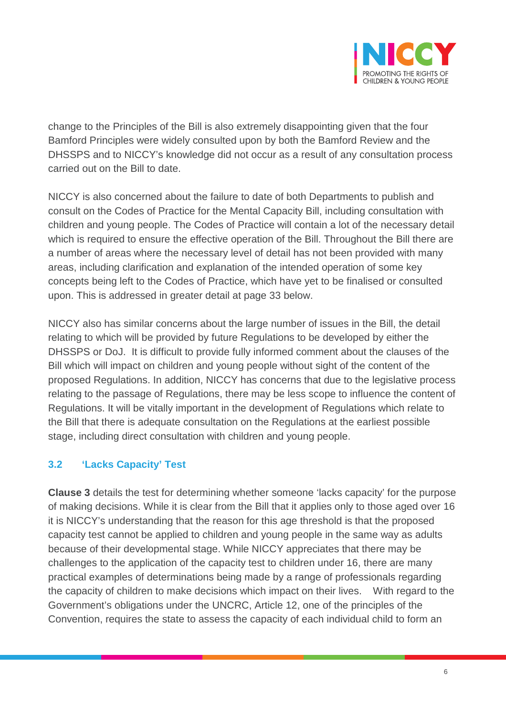

change to the Principles of the Bill is also extremely disappointing given that the four Bamford Principles were widely consulted upon by both the Bamford Review and the DHSSPS and to NICCY's knowledge did not occur as a result of any consultation process carried out on the Bill to date.

NICCY is also concerned about the failure to date of both Departments to publish and consult on the Codes of Practice for the Mental Capacity Bill, including consultation with children and young people. The Codes of Practice will contain a lot of the necessary detail which is required to ensure the effective operation of the Bill. Throughout the Bill there are a number of areas where the necessary level of detail has not been provided with many areas, including clarification and explanation of the intended operation of some key concepts being left to the Codes of Practice, which have yet to be finalised or consulted upon. This is addressed in greater detail at page 33 below.

NICCY also has similar concerns about the large number of issues in the Bill, the detail relating to which will be provided by future Regulations to be developed by either the DHSSPS or DoJ. It is difficult to provide fully informed comment about the clauses of the Bill which will impact on children and young people without sight of the content of the proposed Regulations. In addition, NICCY has concerns that due to the legislative process relating to the passage of Regulations, there may be less scope to influence the content of Regulations. It will be vitally important in the development of Regulations which relate to the Bill that there is adequate consultation on the Regulations at the earliest possible stage, including direct consultation with children and young people.

#### **3.2 'Lacks Capacity' Test**

**Clause 3** details the test for determining whether someone 'lacks capacity' for the purpose of making decisions. While it is clear from the Bill that it applies only to those aged over 16 it is NICCY's understanding that the reason for this age threshold is that the proposed capacity test cannot be applied to children and young people in the same way as adults because of their developmental stage. While NICCY appreciates that there may be challenges to the application of the capacity test to children under 16, there are many practical examples of determinations being made by a range of professionals regarding the capacity of children to make decisions which impact on their lives. With regard to the Government's obligations under the UNCRC, Article 12, one of the principles of the Convention, requires the state to assess the capacity of each individual child to form an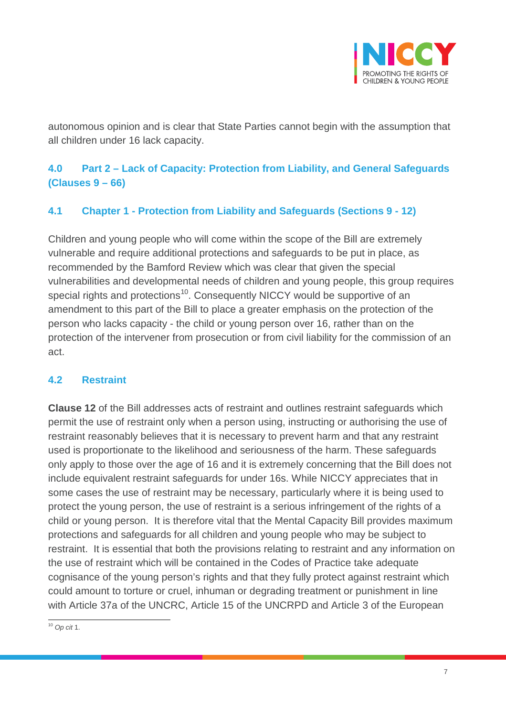

autonomous opinion and is clear that State Parties cannot begin with the assumption that all children under 16 lack capacity.

## **4.0 Part 2 – Lack of Capacity: Protection from Liability, and General Safeguards (Clauses 9 – 66)**

## **4.1 Chapter 1 - Protection from Liability and Safeguards (Sections 9 - 12)**

Children and young people who will come within the scope of the Bill are extremely vulnerable and require additional protections and safeguards to be put in place, as recommended by the Bamford Review which was clear that given the special vulnerabilities and developmental needs of children and young people, this group requires special rights and protections<sup>[10](#page-6-0)</sup>. Consequently NICCY would be supportive of an amendment to this part of the Bill to place a greater emphasis on the protection of the person who lacks capacity - the child or young person over 16, rather than on the protection of the intervener from prosecution or from civil liability for the commission of an act.

#### **4.2 Restraint**

**Clause 12** of the Bill addresses acts of restraint and outlines restraint safeguards which permit the use of restraint only when a person using, instructing or authorising the use of restraint reasonably believes that it is necessary to prevent harm and that any restraint used is proportionate to the likelihood and seriousness of the harm. These safeguards only apply to those over the age of 16 and it is extremely concerning that the Bill does not include equivalent restraint safeguards for under 16s. While NICCY appreciates that in some cases the use of restraint may be necessary, particularly where it is being used to protect the young person, the use of restraint is a serious infringement of the rights of a child or young person. It is therefore vital that the Mental Capacity Bill provides maximum protections and safeguards for all children and young people who may be subject to restraint. It is essential that both the provisions relating to restraint and any information on the use of restraint which will be contained in the Codes of Practice take adequate cognisance of the young person's rights and that they fully protect against restraint which could amount to torture or cruel, inhuman or degrading treatment or punishment in line with Article 37a of the UNCRC, Article 15 of the UNCRPD and Article 3 of the European

<span id="page-6-0"></span><sup>10</sup> *Op cit* 1.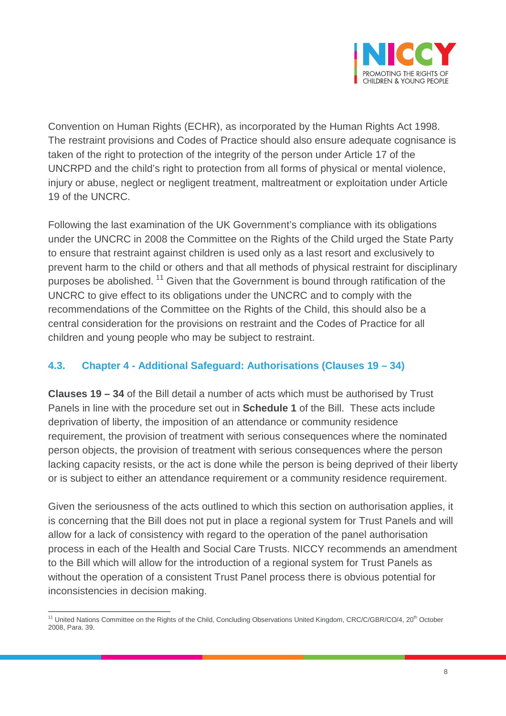

Convention on Human Rights (ECHR), as incorporated by the Human Rights Act 1998. The restraint provisions and Codes of Practice should also ensure adequate cognisance is taken of the right to protection of the integrity of the person under Article 17 of the UNCRPD and the child's right to protection from all forms of physical or mental violence, injury or abuse, neglect or negligent treatment, maltreatment or exploitation under Article 19 of the UNCRC.

Following the last examination of the UK Government's compliance with its obligations under the UNCRC in 2008 the Committee on the Rights of the Child urged the State Party to ensure that restraint against children is used only as a last resort and exclusively to prevent harm to the child or others and that all methods of physical restraint for disciplinary purposes be abolished.<sup>[11](#page-7-0)</sup> Given that the Government is bound through ratification of the UNCRC to give effect to its obligations under the UNCRC and to comply with the recommendations of the Committee on the Rights of the Child, this should also be a central consideration for the provisions on restraint and the Codes of Practice for all children and young people who may be subject to restraint.

#### **4.3. Chapter 4 - Additional Safeguard: Authorisations (Clauses 19 – 34)**

**Clauses 19 – 34** of the Bill detail a number of acts which must be authorised by Trust Panels in line with the procedure set out in **Schedule 1** of the Bill. These acts include deprivation of liberty, the imposition of an attendance or community residence requirement, the provision of treatment with serious consequences where the nominated person objects, the provision of treatment with serious consequences where the person lacking capacity resists, or the act is done while the person is being deprived of their liberty or is subject to either an attendance requirement or a community residence requirement.

Given the seriousness of the acts outlined to which this section on authorisation applies, it is concerning that the Bill does not put in place a regional system for Trust Panels and will allow for a lack of consistency with regard to the operation of the panel authorisation process in each of the Health and Social Care Trusts. NICCY recommends an amendment to the Bill which will allow for the introduction of a regional system for Trust Panels as without the operation of a consistent Trust Panel process there is obvious potential for inconsistencies in decision making.

<span id="page-7-0"></span><sup>&</sup>lt;sup>11</sup> United Nations Committee on the Rights of the Child, Concluding Observations United Kingdom, CRC/C/GBR/CO/4, 20<sup>th</sup> October 2008, Para. 39.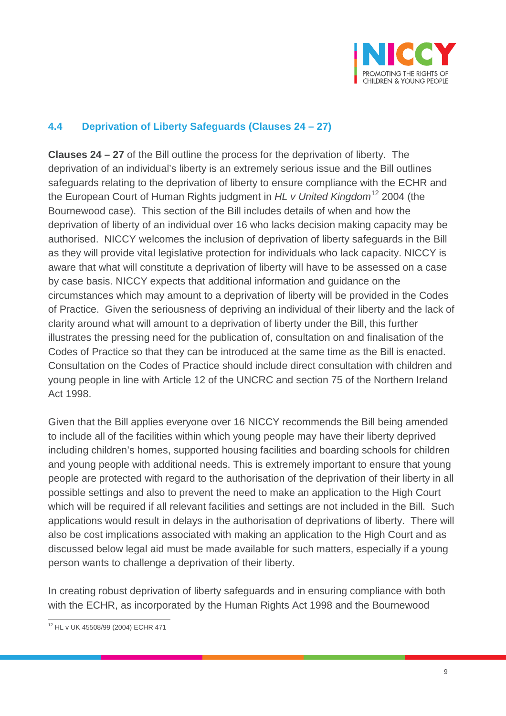

## **4.4 Deprivation of Liberty Safeguards (Clauses 24 – 27)**

**Clauses 24 – 27** of the Bill outline the process for the deprivation of liberty. The deprivation of an individual's liberty is an extremely serious issue and the Bill outlines safeguards relating to the deprivation of liberty to ensure compliance with the ECHR and the European Court of Human Rights judgment in *HL v United Kingdom*[12](#page-8-0) 2004 (the Bournewood case). This section of the Bill includes details of when and how the deprivation of liberty of an individual over 16 who lacks decision making capacity may be authorised. NICCY welcomes the inclusion of deprivation of liberty safeguards in the Bill as they will provide vital legislative protection for individuals who lack capacity. NICCY is aware that what will constitute a deprivation of liberty will have to be assessed on a case by case basis. NICCY expects that additional information and guidance on the circumstances which may amount to a deprivation of liberty will be provided in the Codes of Practice. Given the seriousness of depriving an individual of their liberty and the lack of clarity around what will amount to a deprivation of liberty under the Bill, this further illustrates the pressing need for the publication of, consultation on and finalisation of the Codes of Practice so that they can be introduced at the same time as the Bill is enacted. Consultation on the Codes of Practice should include direct consultation with children and young people in line with Article 12 of the UNCRC and section 75 of the Northern Ireland Act 1998.

Given that the Bill applies everyone over 16 NICCY recommends the Bill being amended to include all of the facilities within which young people may have their liberty deprived including children's homes, supported housing facilities and boarding schools for children and young people with additional needs. This is extremely important to ensure that young people are protected with regard to the authorisation of the deprivation of their liberty in all possible settings and also to prevent the need to make an application to the High Court which will be required if all relevant facilities and settings are not included in the Bill. Such applications would result in delays in the authorisation of deprivations of liberty. There will also be cost implications associated with making an application to the High Court and as discussed below legal aid must be made available for such matters, especially if a young person wants to challenge a deprivation of their liberty.

In creating robust deprivation of liberty safeguards and in ensuring compliance with both with the ECHR, as incorporated by the Human Rights Act 1998 and the Bournewood

<span id="page-8-0"></span><sup>12</sup> HL v UK 45508/99 (2004) ECHR 471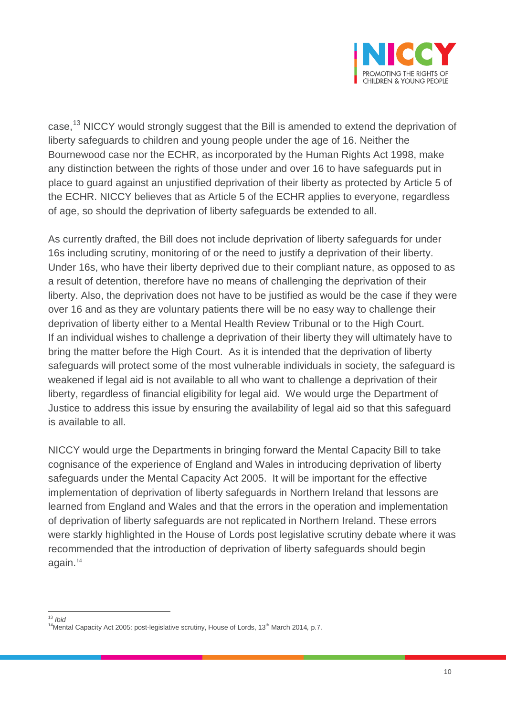

case,<sup>[13](#page-9-0)</sup> NICCY would strongly suggest that the Bill is amended to extend the deprivation of liberty safeguards to children and young people under the age of 16. Neither the Bournewood case nor the ECHR, as incorporated by the Human Rights Act 1998, make any distinction between the rights of those under and over 16 to have safeguards put in place to guard against an unjustified deprivation of their liberty as protected by Article 5 of the ECHR. NICCY believes that as Article 5 of the ECHR applies to everyone, regardless of age, so should the deprivation of liberty safeguards be extended to all.

As currently drafted, the Bill does not include deprivation of liberty safeguards for under 16s including scrutiny, monitoring of or the need to justify a deprivation of their liberty. Under 16s, who have their liberty deprived due to their compliant nature, as opposed to as a result of detention, therefore have no means of challenging the deprivation of their liberty. Also, the deprivation does not have to be justified as would be the case if they were over 16 and as they are voluntary patients there will be no easy way to challenge their deprivation of liberty either to a Mental Health Review Tribunal or to the High Court. If an individual wishes to challenge a deprivation of their liberty they will ultimately have to bring the matter before the High Court. As it is intended that the deprivation of liberty safeguards will protect some of the most vulnerable individuals in society, the safeguard is weakened if legal aid is not available to all who want to challenge a deprivation of their liberty, regardless of financial eligibility for legal aid. We would urge the Department of Justice to address this issue by ensuring the availability of legal aid so that this safeguard is available to all.

NICCY would urge the Departments in bringing forward the Mental Capacity Bill to take cognisance of the experience of England and Wales in introducing deprivation of liberty safeguards under the Mental Capacity Act 2005. It will be important for the effective implementation of deprivation of liberty safeguards in Northern Ireland that lessons are learned from England and Wales and that the errors in the operation and implementation of deprivation of liberty safeguards are not replicated in Northern Ireland. These errors were starkly highlighted in the House of Lords post legislative scrutiny debate where it was recommended that the introduction of deprivation of liberty safeguards should begin again.<sup>[14](#page-9-1)</sup>

<span id="page-9-1"></span><span id="page-9-0"></span><sup>&</sup>lt;sup>13</sup> *Ibid*<br><sup>14</sup>Mental Capacity Act 2005: post-legislative scrutiny, House of Lords, 13<sup>th</sup> March 2014, p.7.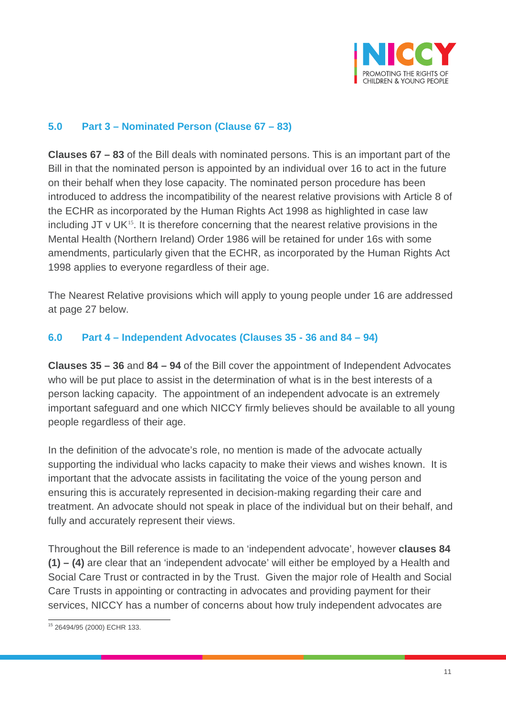

#### **5.0 Part 3 – Nominated Person (Clause 67 – 83)**

**Clauses 67 – 83** of the Bill deals with nominated persons. This is an important part of the Bill in that the nominated person is appointed by an individual over 16 to act in the future on their behalf when they lose capacity. The nominated person procedure has been introduced to address the incompatibility of the nearest relative provisions with Article 8 of the ECHR as incorporated by the Human Rights Act 1998 as highlighted in case law including  $JT \vee UK^{15}$  $JT \vee UK^{15}$  $JT \vee UK^{15}$ . It is therefore concerning that the nearest relative provisions in the Mental Health (Northern Ireland) Order 1986 will be retained for under 16s with some amendments, particularly given that the ECHR, as incorporated by the Human Rights Act 1998 applies to everyone regardless of their age.

The Nearest Relative provisions which will apply to young people under 16 are addressed at page 27 below.

#### **6.0 Part 4 – Independent Advocates (Clauses 35 - 36 and 84 – 94)**

**Clauses 35 – 36** and **84 – 94** of the Bill cover the appointment of Independent Advocates who will be put place to assist in the determination of what is in the best interests of a person lacking capacity. The appointment of an independent advocate is an extremely important safeguard and one which NICCY firmly believes should be available to all young people regardless of their age.

In the definition of the advocate's role, no mention is made of the advocate actually supporting the individual who lacks capacity to make their views and wishes known. It is important that the advocate assists in facilitating the voice of the young person and ensuring this is accurately represented in decision-making regarding their care and treatment. An advocate should not speak in place of the individual but on their behalf, and fully and accurately represent their views.

Throughout the Bill reference is made to an 'independent advocate', however **clauses 84 (1) – (4)** are clear that an 'independent advocate' will either be employed by a Health and Social Care Trust or contracted in by the Trust. Given the major role of Health and Social Care Trusts in appointing or contracting in advocates and providing payment for their services, NICCY has a number of concerns about how truly independent advocates are

<span id="page-10-0"></span><sup>15</sup> 26494/95 (2000) ECHR 133.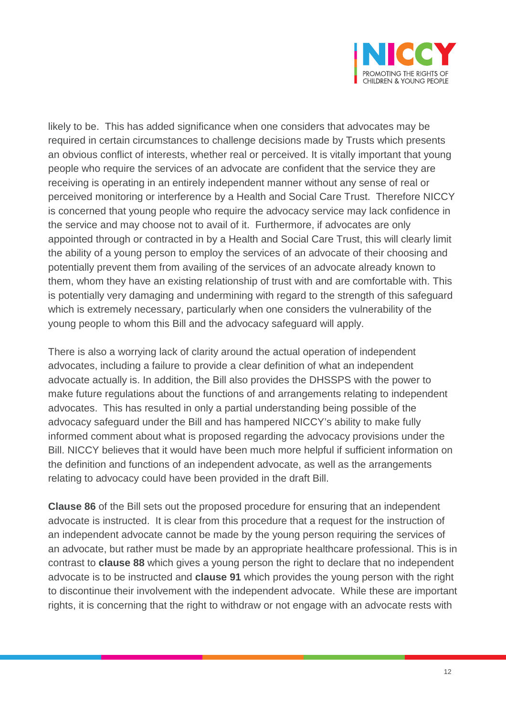

likely to be. This has added significance when one considers that advocates may be required in certain circumstances to challenge decisions made by Trusts which presents an obvious conflict of interests, whether real or perceived. It is vitally important that young people who require the services of an advocate are confident that the service they are receiving is operating in an entirely independent manner without any sense of real or perceived monitoring or interference by a Health and Social Care Trust. Therefore NICCY is concerned that young people who require the advocacy service may lack confidence in the service and may choose not to avail of it. Furthermore, if advocates are only appointed through or contracted in by a Health and Social Care Trust, this will clearly limit the ability of a young person to employ the services of an advocate of their choosing and potentially prevent them from availing of the services of an advocate already known to them, whom they have an existing relationship of trust with and are comfortable with. This is potentially very damaging and undermining with regard to the strength of this safeguard which is extremely necessary, particularly when one considers the vulnerability of the young people to whom this Bill and the advocacy safeguard will apply.

There is also a worrying lack of clarity around the actual operation of independent advocates, including a failure to provide a clear definition of what an independent advocate actually is. In addition, the Bill also provides the DHSSPS with the power to make future regulations about the functions of and arrangements relating to independent advocates. This has resulted in only a partial understanding being possible of the advocacy safeguard under the Bill and has hampered NICCY's ability to make fully informed comment about what is proposed regarding the advocacy provisions under the Bill. NICCY believes that it would have been much more helpful if sufficient information on the definition and functions of an independent advocate, as well as the arrangements relating to advocacy could have been provided in the draft Bill.

**Clause 86** of the Bill sets out the proposed procedure for ensuring that an independent advocate is instructed. It is clear from this procedure that a request for the instruction of an independent advocate cannot be made by the young person requiring the services of an advocate, but rather must be made by an appropriate healthcare professional. This is in contrast to **clause 88** which gives a young person the right to declare that no independent advocate is to be instructed and **clause 91** which provides the young person with the right to discontinue their involvement with the independent advocate. While these are important rights, it is concerning that the right to withdraw or not engage with an advocate rests with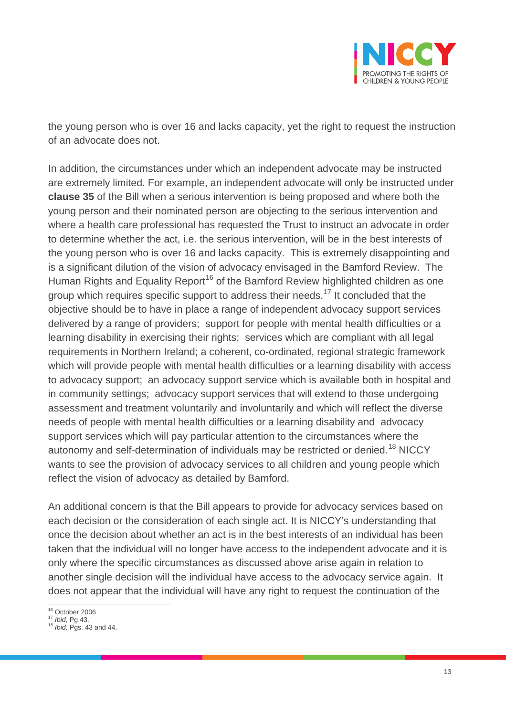

the young person who is over 16 and lacks capacity, yet the right to request the instruction of an advocate does not.

In addition, the circumstances under which an independent advocate may be instructed are extremely limited. For example, an independent advocate will only be instructed under **clause 35** of the Bill when a serious intervention is being proposed and where both the young person and their nominated person are objecting to the serious intervention and where a health care professional has requested the Trust to instruct an advocate in order to determine whether the act, i.e. the serious intervention, will be in the best interests of the young person who is over 16 and lacks capacity. This is extremely disappointing and is a significant dilution of the vision of advocacy envisaged in the Bamford Review.The Human Rights and Equality Report<sup>[16](#page-12-0)</sup> of the Bamford Review highlighted children as one group which requires specific support to address their needs.<sup>[17](#page-12-1)</sup> It concluded that the objective should be to have in place a range of independent advocacy support services delivered by a range of providers; support for people with mental health difficulties or a learning disability in exercising their rights; services which are compliant with all legal requirements in Northern Ireland; a coherent, co-ordinated, regional strategic framework which will provide people with mental health difficulties or a learning disability with access to advocacy support; an advocacy support service which is available both in hospital and in community settings; advocacy support services that will extend to those undergoing assessment and treatment voluntarily and involuntarily and which will reflect the diverse needs of people with mental health difficulties or a learning disability and advocacy support services which will pay particular attention to the circumstances where the autonomy and self-determination of individuals may be restricted or denied.<sup>[18](#page-12-2)</sup> NICCY wants to see the provision of advocacy services to all children and young people which reflect the vision of advocacy as detailed by Bamford.

An additional concern is that the Bill appears to provide for advocacy services based on each decision or the consideration of each single act. It is NICCY's understanding that once the decision about whether an act is in the best interests of an individual has been taken that the individual will no longer have access to the independent advocate and it is only where the specific circumstances as discussed above arise again in relation to another single decision will the individual have access to the advocacy service again. It does not appear that the individual will have any right to request the continuation of the

<span id="page-12-2"></span>

<span id="page-12-1"></span><span id="page-12-0"></span><sup>16</sup> October 2006 <sup>17</sup> *Ibid,* Pg 43. <sup>18</sup> *Ibid,* Pgs. 43 and 44.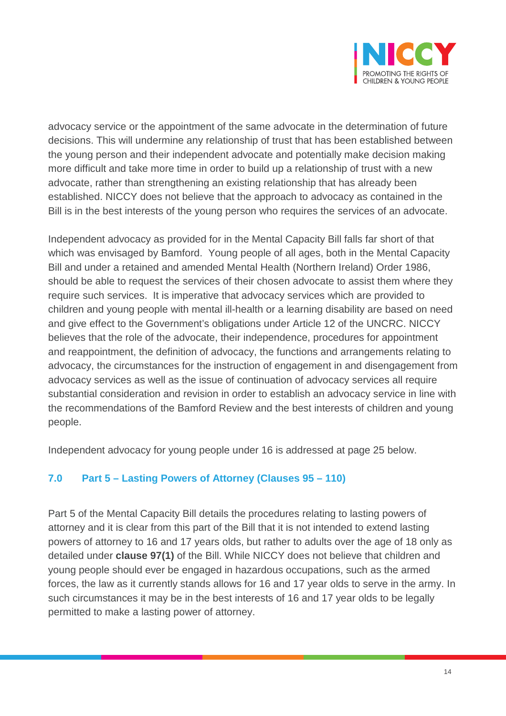

advocacy service or the appointment of the same advocate in the determination of future decisions. This will undermine any relationship of trust that has been established between the young person and their independent advocate and potentially make decision making more difficult and take more time in order to build up a relationship of trust with a new advocate, rather than strengthening an existing relationship that has already been established. NICCY does not believe that the approach to advocacy as contained in the Bill is in the best interests of the young person who requires the services of an advocate.

Independent advocacy as provided for in the Mental Capacity Bill falls far short of that which was envisaged by Bamford. Young people of all ages, both in the Mental Capacity Bill and under a retained and amended Mental Health (Northern Ireland) Order 1986, should be able to request the services of their chosen advocate to assist them where they require such services. It is imperative that advocacy services which are provided to children and young people with mental ill-health or a learning disability are based on need and give effect to the Government's obligations under Article 12 of the UNCRC. NICCY believes that the role of the advocate, their independence, procedures for appointment and reappointment, the definition of advocacy, the functions and arrangements relating to advocacy, the circumstances for the instruction of engagement in and disengagement from advocacy services as well as the issue of continuation of advocacy services all require substantial consideration and revision in order to establish an advocacy service in line with the recommendations of the Bamford Review and the best interests of children and young people.

Independent advocacy for young people under 16 is addressed at page 25 below.

## **7.0 Part 5 – Lasting Powers of Attorney (Clauses 95 – 110)**

Part 5 of the Mental Capacity Bill details the procedures relating to lasting powers of attorney and it is clear from this part of the Bill that it is not intended to extend lasting powers of attorney to 16 and 17 years olds, but rather to adults over the age of 18 only as detailed under **clause 97(1)** of the Bill. While NICCY does not believe that children and young people should ever be engaged in hazardous occupations, such as the armed forces, the law as it currently stands allows for 16 and 17 year olds to serve in the army. In such circumstances it may be in the best interests of 16 and 17 year olds to be legally permitted to make a lasting power of attorney.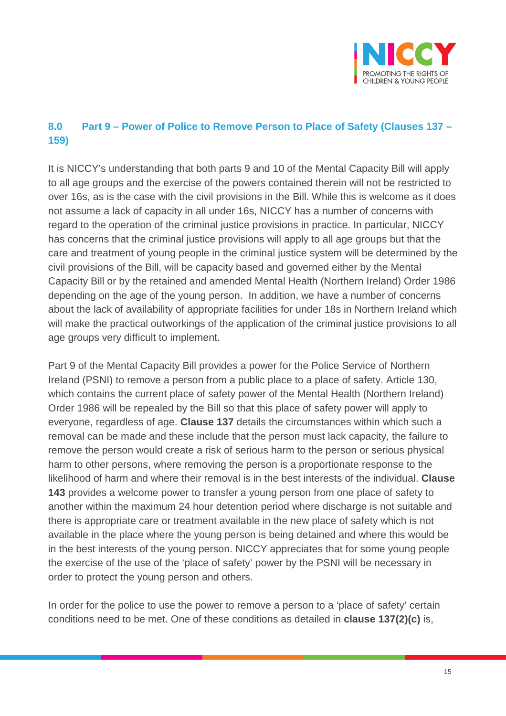

## **8.0 Part 9 – Power of Police to Remove Person to Place of Safety (Clauses 137 – 159)**

It is NICCY's understanding that both parts 9 and 10 of the Mental Capacity Bill will apply to all age groups and the exercise of the powers contained therein will not be restricted to over 16s, as is the case with the civil provisions in the Bill. While this is welcome as it does not assume a lack of capacity in all under 16s, NICCY has a number of concerns with regard to the operation of the criminal justice provisions in practice. In particular, NICCY has concerns that the criminal justice provisions will apply to all age groups but that the care and treatment of young people in the criminal justice system will be determined by the civil provisions of the Bill, will be capacity based and governed either by the Mental Capacity Bill or by the retained and amended Mental Health (Northern Ireland) Order 1986 depending on the age of the young person. In addition, we have a number of concerns about the lack of availability of appropriate facilities for under 18s in Northern Ireland which will make the practical outworkings of the application of the criminal justice provisions to all age groups very difficult to implement.

Part 9 of the Mental Capacity Bill provides a power for the Police Service of Northern Ireland (PSNI) to remove a person from a public place to a place of safety. Article 130, which contains the current place of safety power of the Mental Health (Northern Ireland) Order 1986 will be repealed by the Bill so that this place of safety power will apply to everyone, regardless of age. **Clause 137** details the circumstances within which such a removal can be made and these include that the person must lack capacity, the failure to remove the person would create a risk of serious harm to the person or serious physical harm to other persons, where removing the person is a proportionate response to the likelihood of harm and where their removal is in the best interests of the individual. **Clause 143** provides a welcome power to transfer a young person from one place of safety to another within the maximum 24 hour detention period where discharge is not suitable and there is appropriate care or treatment available in the new place of safety which is not available in the place where the young person is being detained and where this would be in the best interests of the young person. NICCY appreciates that for some young people the exercise of the use of the 'place of safety' power by the PSNI will be necessary in order to protect the young person and others.

In order for the police to use the power to remove a person to a 'place of safety' certain conditions need to be met. One of these conditions as detailed in **clause 137(2)(c)** is,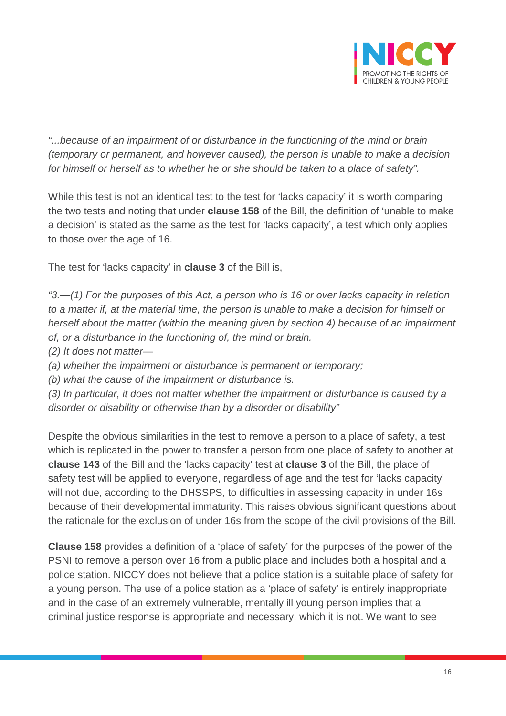

*"...because of an impairment of or disturbance in the functioning of the mind or brain (temporary or permanent, and however caused), the person is unable to make a decision for himself or herself as to whether he or she should be taken to a place of safety".*

While this test is not an identical test to the test for 'lacks capacity' it is worth comparing the two tests and noting that under **clause 158** of the Bill, the definition of 'unable to make a decision' is stated as the same as the test for 'lacks capacity', a test which only applies to those over the age of 16.

The test for 'lacks capacity' in **clause 3** of the Bill is,

*"3.—(1) For the purposes of this Act, a person who is 16 or over lacks capacity in relation to a matter if, at the material time, the person is unable to make a decision for himself or herself about the matter (within the meaning given by section 4) because of an impairment of, or a disturbance in the functioning of, the mind or brain.* 

*(2) It does not matter—*

*(a) whether the impairment or disturbance is permanent or temporary;* 

*(b) what the cause of the impairment or disturbance is.* 

*(3) In particular, it does not matter whether the impairment or disturbance is caused by a disorder or disability or otherwise than by a disorder or disability"*

Despite the obvious similarities in the test to remove a person to a place of safety, a test which is replicated in the power to transfer a person from one place of safety to another at **clause 143** of the Bill and the 'lacks capacity' test at **clause 3** of the Bill, the place of safety test will be applied to everyone, regardless of age and the test for 'lacks capacity' will not due, according to the DHSSPS, to difficulties in assessing capacity in under 16s because of their developmental immaturity. This raises obvious significant questions about the rationale for the exclusion of under 16s from the scope of the civil provisions of the Bill.

**Clause 158** provides a definition of a 'place of safety' for the purposes of the power of the PSNI to remove a person over 16 from a public place and includes both a hospital and a police station. NICCY does not believe that a police station is a suitable place of safety for a young person. The use of a police station as a 'place of safety' is entirely inappropriate and in the case of an extremely vulnerable, mentally ill young person implies that a criminal justice response is appropriate and necessary, which it is not. We want to see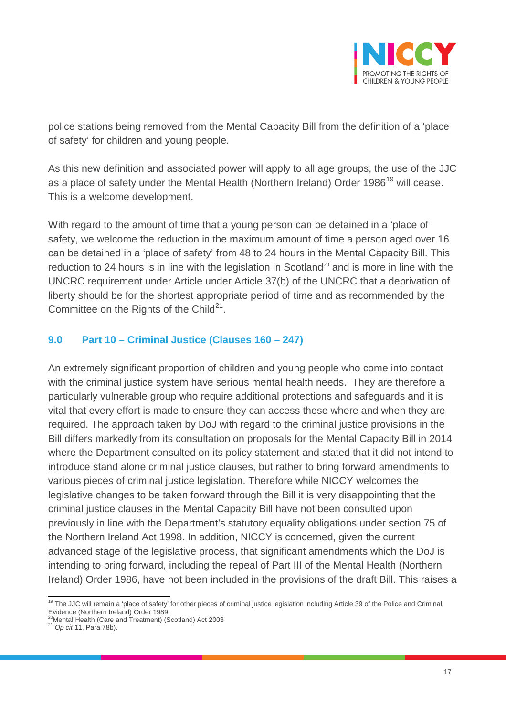

police stations being removed from the Mental Capacity Bill from the definition of a 'place of safety' for children and young people.

As this new definition and associated power will apply to all age groups, the use of the JJC as a place of safety under the Mental Health (Northern Ireland) Order [19](#page-16-0)86<sup>19</sup> will cease. This is a welcome development.

With regard to the amount of time that a young person can be detained in a 'place of safety, we welcome the reduction in the maximum amount of time a person aged over 16 can be detained in a 'place of safety' from 48 to 24 hours in the Mental Capacity Bill. This reduction to 24 hours is in line with the legislation in Scotland<sup>[20](#page-16-1)</sup> and is more in line with the UNCRC requirement under Article under Article 37(b) of the UNCRC that a deprivation of liberty should be for the shortest appropriate period of time and as recommended by the Committee on the Rights of the Child<sup>[21](#page-16-2)</sup>.

#### **9.0 Part 10 – Criminal Justice (Clauses 160 – 247)**

An extremely significant proportion of children and young people who come into contact with the criminal justice system have serious mental health needs. They are therefore a particularly vulnerable group who require additional protections and safeguards and it is vital that every effort is made to ensure they can access these where and when they are required. The approach taken by DoJ with regard to the criminal justice provisions in the Bill differs markedly from its consultation on proposals for the Mental Capacity Bill in 2014 where the Department consulted on its policy statement and stated that it did not intend to introduce stand alone criminal justice clauses, but rather to bring forward amendments to various pieces of criminal justice legislation. Therefore while NICCY welcomes the legislative changes to be taken forward through the Bill it is very disappointing that the criminal justice clauses in the Mental Capacity Bill have not been consulted upon previously in line with the Department's statutory equality obligations under section 75 of the Northern Ireland Act 1998. In addition, NICCY is concerned, given the current advanced stage of the legislative process, that significant amendments which the DoJ is intending to bring forward, including the repeal of Part III of the Mental Health (Northern Ireland) Order 1986, have not been included in the provisions of the draft Bill. This raises a

<span id="page-16-0"></span><sup>&</sup>lt;sup>19</sup> The JJC will remain a 'place of safety' for other pieces of criminal justice legislation including Article 39 of the Police and Criminal Evidence (Northern Ireland) Order 1989.

<span id="page-16-2"></span><span id="page-16-1"></span><sup>20</sup>Mental Health (Care and Treatment) (Scotland) Act 2003 <sup>21</sup> *Op cit* 11, Para 78b).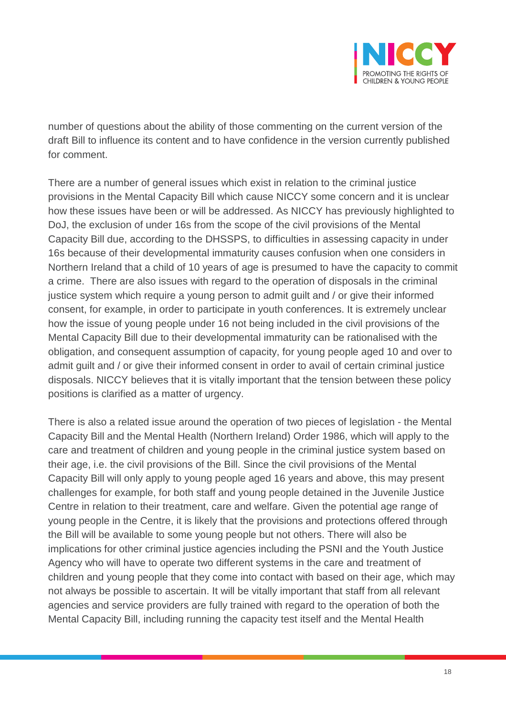

number of questions about the ability of those commenting on the current version of the draft Bill to influence its content and to have confidence in the version currently published for comment.

There are a number of general issues which exist in relation to the criminal justice provisions in the Mental Capacity Bill which cause NICCY some concern and it is unclear how these issues have been or will be addressed. As NICCY has previously highlighted to DoJ, the exclusion of under 16s from the scope of the civil provisions of the Mental Capacity Bill due, according to the DHSSPS, to difficulties in assessing capacity in under 16s because of their developmental immaturity causes confusion when one considers in Northern Ireland that a child of 10 years of age is presumed to have the capacity to commit a crime. There are also issues with regard to the operation of disposals in the criminal justice system which require a young person to admit guilt and / or give their informed consent, for example, in order to participate in youth conferences. It is extremely unclear how the issue of young people under 16 not being included in the civil provisions of the Mental Capacity Bill due to their developmental immaturity can be rationalised with the obligation, and consequent assumption of capacity, for young people aged 10 and over to admit guilt and / or give their informed consent in order to avail of certain criminal justice disposals. NICCY believes that it is vitally important that the tension between these policy positions is clarified as a matter of urgency.

There is also a related issue around the operation of two pieces of legislation - the Mental Capacity Bill and the Mental Health (Northern Ireland) Order 1986, which will apply to the care and treatment of children and young people in the criminal justice system based on their age, i.e. the civil provisions of the Bill. Since the civil provisions of the Mental Capacity Bill will only apply to young people aged 16 years and above, this may present challenges for example, for both staff and young people detained in the Juvenile Justice Centre in relation to their treatment, care and welfare. Given the potential age range of young people in the Centre, it is likely that the provisions and protections offered through the Bill will be available to some young people but not others. There will also be implications for other criminal justice agencies including the PSNI and the Youth Justice Agency who will have to operate two different systems in the care and treatment of children and young people that they come into contact with based on their age, which may not always be possible to ascertain. It will be vitally important that staff from all relevant agencies and service providers are fully trained with regard to the operation of both the Mental Capacity Bill, including running the capacity test itself and the Mental Health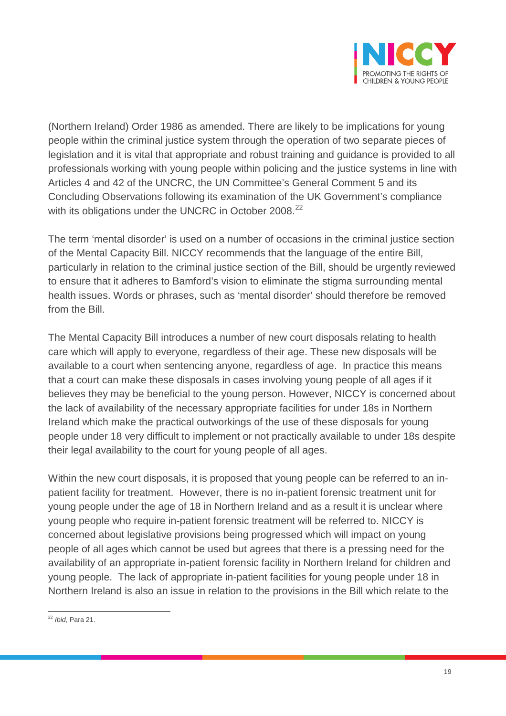

(Northern Ireland) Order 1986 as amended. There are likely to be implications for young people within the criminal justice system through the operation of two separate pieces of legislation and it is vital that appropriate and robust training and guidance is provided to all professionals working with young people within policing and the justice systems in line with Articles 4 and 42 of the UNCRC, the UN Committee's General Comment 5 and its Concluding Observations following its examination of the UK Government's compliance with its obligations under the UNCRC in October 2008.<sup>[22](#page-18-0)</sup>

The term 'mental disorder' is used on a number of occasions in the criminal justice section of the Mental Capacity Bill. NICCY recommends that the language of the entire Bill, particularly in relation to the criminal justice section of the Bill, should be urgently reviewed to ensure that it adheres to Bamford's vision to eliminate the stigma surrounding mental health issues. Words or phrases, such as 'mental disorder' should therefore be removed from the Bill.

The Mental Capacity Bill introduces a number of new court disposals relating to health care which will apply to everyone, regardless of their age. These new disposals will be available to a court when sentencing anyone, regardless of age. In practice this means that a court can make these disposals in cases involving young people of all ages if it believes they may be beneficial to the young person. However, NICCY is concerned about the lack of availability of the necessary appropriate facilities for under 18s in Northern Ireland which make the practical outworkings of the use of these disposals for young people under 18 very difficult to implement or not practically available to under 18s despite their legal availability to the court for young people of all ages.

Within the new court disposals, it is proposed that young people can be referred to an inpatient facility for treatment. However, there is no in-patient forensic treatment unit for young people under the age of 18 in Northern Ireland and as a result it is unclear where young people who require in-patient forensic treatment will be referred to. NICCY is concerned about legislative provisions being progressed which will impact on young people of all ages which cannot be used but agrees that there is a pressing need for the availability of an appropriate in-patient forensic facility in Northern Ireland for children and young people. The lack of appropriate in-patient facilities for young people under 18 in Northern Ireland is also an issue in relation to the provisions in the Bill which relate to the

<span id="page-18-0"></span><sup>22</sup> *Ibid*, Para 21.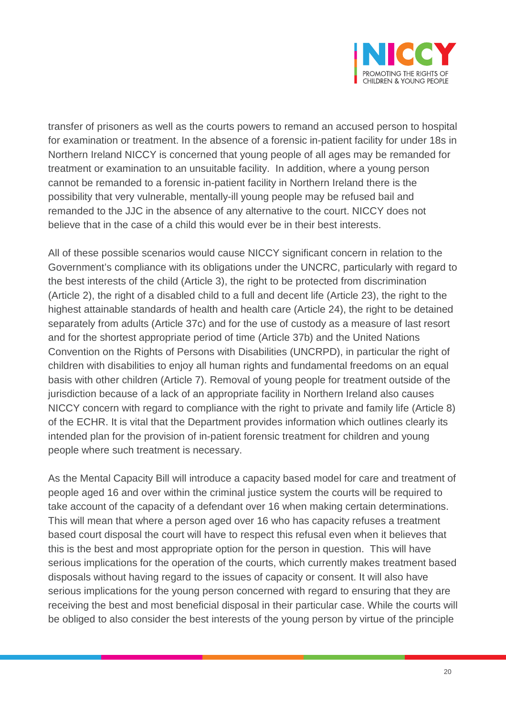

transfer of prisoners as well as the courts powers to remand an accused person to hospital for examination or treatment. In the absence of a forensic in-patient facility for under 18s in Northern Ireland NICCY is concerned that young people of all ages may be remanded for treatment or examination to an unsuitable facility. In addition, where a young person cannot be remanded to a forensic in-patient facility in Northern Ireland there is the possibility that very vulnerable, mentally-ill young people may be refused bail and remanded to the JJC in the absence of any alternative to the court. NICCY does not believe that in the case of a child this would ever be in their best interests.

All of these possible scenarios would cause NICCY significant concern in relation to the Government's compliance with its obligations under the UNCRC, particularly with regard to the best interests of the child (Article 3), the right to be protected from discrimination (Article 2), the right of a disabled child to a full and decent life (Article 23), the right to the highest attainable standards of health and health care (Article 24), the right to be detained separately from adults (Article 37c) and for the use of custody as a measure of last resort and for the shortest appropriate period of time (Article 37b) and the United Nations Convention on the Rights of Persons with Disabilities (UNCRPD), in particular the right of children with disabilities to enjoy all human rights and fundamental freedoms on an equal basis with other children (Article 7). Removal of young people for treatment outside of the jurisdiction because of a lack of an appropriate facility in Northern Ireland also causes NICCY concern with regard to compliance with the right to private and family life (Article 8) of the ECHR. It is vital that the Department provides information which outlines clearly its intended plan for the provision of in-patient forensic treatment for children and young people where such treatment is necessary.

As the Mental Capacity Bill will introduce a capacity based model for care and treatment of people aged 16 and over within the criminal justice system the courts will be required to take account of the capacity of a defendant over 16 when making certain determinations. This will mean that where a person aged over 16 who has capacity refuses a treatment based court disposal the court will have to respect this refusal even when it believes that this is the best and most appropriate option for the person in question. This will have serious implications for the operation of the courts, which currently makes treatment based disposals without having regard to the issues of capacity or consent. It will also have serious implications for the young person concerned with regard to ensuring that they are receiving the best and most beneficial disposal in their particular case. While the courts will be obliged to also consider the best interests of the young person by virtue of the principle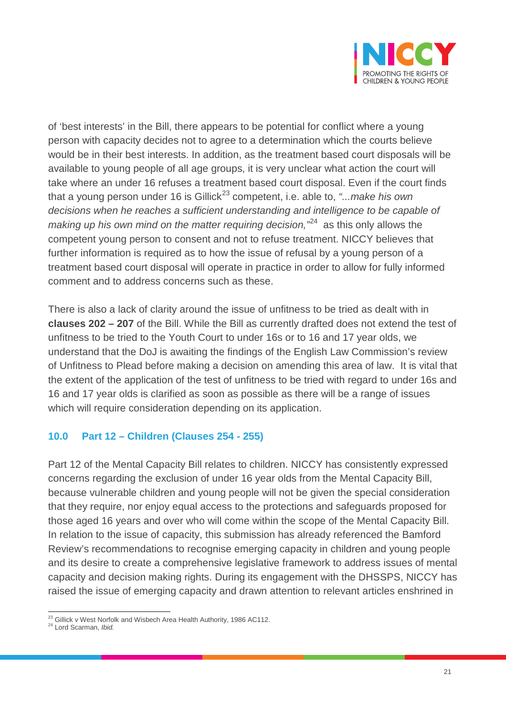

of 'best interests' in the Bill, there appears to be potential for conflict where a young person with capacity decides not to agree to a determination which the courts believe would be in their best interests. In addition, as the treatment based court disposals will be available to young people of all age groups, it is very unclear what action the court will take where an under 16 refuses a treatment based court disposal. Even if the court finds that a young person under 16 is Gillick<sup>[23](#page-20-0)</sup> competent, i.e. able to, "...make his own *decisions when he reaches a sufficient understanding and intelligence to be capable of making up his own mind on the matter requiring decision,"*[24](#page-20-1) as this only allows the competent young person to consent and not to refuse treatment. NICCY believes that further information is required as to how the issue of refusal by a young person of a treatment based court disposal will operate in practice in order to allow for fully informed comment and to address concerns such as these.

There is also a lack of clarity around the issue of unfitness to be tried as dealt with in **clauses 202 – 207** of the Bill. While the Bill as currently drafted does not extend the test of unfitness to be tried to the Youth Court to under 16s or to 16 and 17 year olds, we understand that the DoJ is awaiting the findings of the English Law Commission's review of Unfitness to Plead before making a decision on amending this area of law. It is vital that the extent of the application of the test of unfitness to be tried with regard to under 16s and 16 and 17 year olds is clarified as soon as possible as there will be a range of issues which will require consideration depending on its application.

#### **10.0 Part 12 – Children (Clauses 254 - 255)**

Part 12 of the Mental Capacity Bill relates to children. NICCY has consistently expressed concerns regarding the exclusion of under 16 year olds from the Mental Capacity Bill, because vulnerable children and young people will not be given the special consideration that they require, nor enjoy equal access to the protections and safeguards proposed for those aged 16 years and over who will come within the scope of the Mental Capacity Bill. In relation to the issue of capacity, this submission has already referenced the Bamford Review's recommendations to recognise emerging capacity in children and young people and its desire to create a comprehensive legislative framework to address issues of mental capacity and decision making rights. During its engagement with the DHSSPS, NICCY has raised the issue of emerging capacity and drawn attention to relevant articles enshrined in

<span id="page-20-0"></span><sup>&</sup>lt;sup>23</sup> Gillick v West Norfolk and Wisbech Area Health Authority, 1986 AC112.<br><sup>24</sup> Lord Scarman, *Ibid.* 

<span id="page-20-1"></span>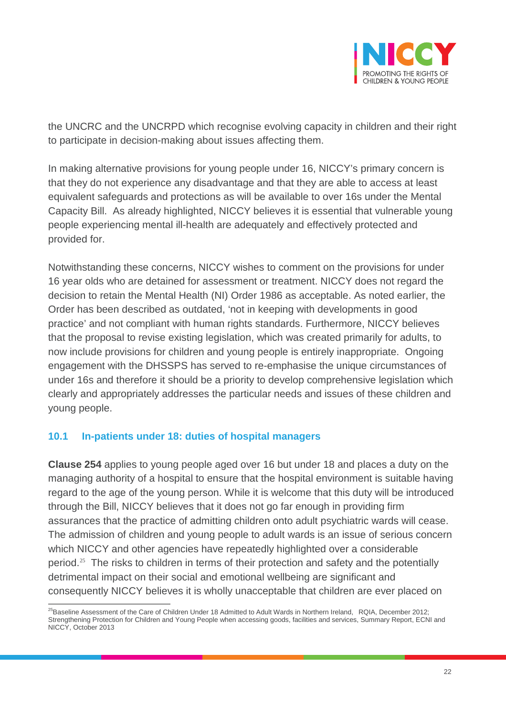

the UNCRC and the UNCRPD which recognise evolving capacity in children and their right to participate in decision-making about issues affecting them.

In making alternative provisions for young people under 16, NICCY's primary concern is that they do not experience any disadvantage and that they are able to access at least equivalent safeguards and protections as will be available to over 16s under the Mental Capacity Bill. As already highlighted, NICCY believes it is essential that vulnerable young people experiencing mental ill-health are adequately and effectively protected and provided for.

Notwithstanding these concerns, NICCY wishes to comment on the provisions for under 16 year olds who are detained for assessment or treatment. NICCY does not regard the decision to retain the Mental Health (NI) Order 1986 as acceptable. As noted earlier, the Order has been described as outdated, 'not in keeping with developments in good practice' and not compliant with human rights standards. Furthermore, NICCY believes that the proposal to revise existing legislation, which was created primarily for adults, to now include provisions for children and young people is entirely inappropriate. Ongoing engagement with the DHSSPS has served to re-emphasise the unique circumstances of under 16s and therefore it should be a priority to develop comprehensive legislation which clearly and appropriately addresses the particular needs and issues of these children and young people.

#### **10.1 In-patients under 18: duties of hospital managers**

**Clause 254** applies to young people aged over 16 but under 18 and places a duty on the managing authority of a hospital to ensure that the hospital environment is suitable having regard to the age of the young person. While it is welcome that this duty will be introduced through the Bill, NICCY believes that it does not go far enough in providing firm assurances that the practice of admitting children onto adult psychiatric wards will cease. The admission of children and young people to adult wards is an issue of serious concern which NICCY and other agencies have repeatedly highlighted over a considerable period.<sup>[25](#page-21-0)</sup> The risks to children in terms of their protection and safety and the potentially detrimental impact on their social and emotional wellbeing are significant and consequently NICCY believes it is wholly unacceptable that children are ever placed on

<span id="page-21-0"></span> $^{25}$ Baseline Assessment of the Care of Children Under 18 Admitted to Adult Wards in Northern Ireland, RQIA, December 2012; Strengthening Protection for Children and Young People when accessing goods, facilities and services, Summary Report, ECNI and NICCY, October 2013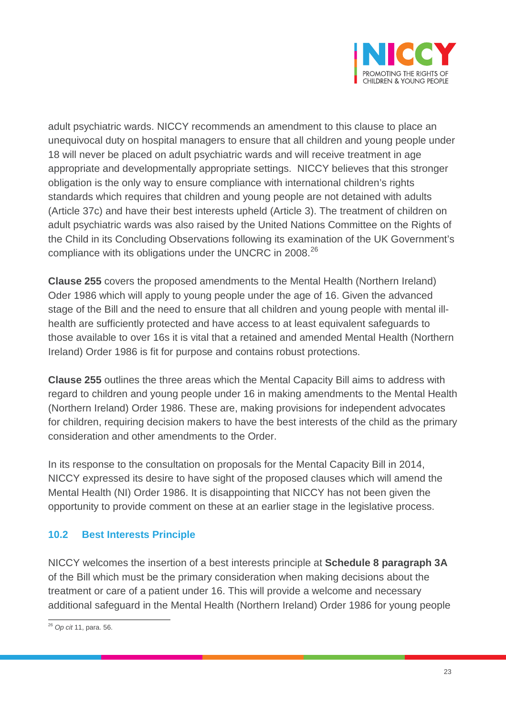

adult psychiatric wards. NICCY recommends an amendment to this clause to place an unequivocal duty on hospital managers to ensure that all children and young people under 18 will never be placed on adult psychiatric wards and will receive treatment in age appropriate and developmentally appropriate settings. NICCY believes that this stronger obligation is the only way to ensure compliance with international children's rights standards which requires that children and young people are not detained with adults (Article 37c) and have their best interests upheld (Article 3). The treatment of children on adult psychiatric wards was also raised by the United Nations Committee on the Rights of the Child in its Concluding Observations following its examination of the UK Government's compliance with its obligations under the UNCRC in 2008.<sup>[26](#page-22-0)</sup>

**Clause 255** covers the proposed amendments to the Mental Health (Northern Ireland) Oder 1986 which will apply to young people under the age of 16. Given the advanced stage of the Bill and the need to ensure that all children and young people with mental illhealth are sufficiently protected and have access to at least equivalent safeguards to those available to over 16s it is vital that a retained and amended Mental Health (Northern Ireland) Order 1986 is fit for purpose and contains robust protections.

**Clause 255** outlines the three areas which the Mental Capacity Bill aims to address with regard to children and young people under 16 in making amendments to the Mental Health (Northern Ireland) Order 1986. These are, making provisions for independent advocates for children, requiring decision makers to have the best interests of the child as the primary consideration and other amendments to the Order.

In its response to the consultation on proposals for the Mental Capacity Bill in 2014, NICCY expressed its desire to have sight of the proposed clauses which will amend the Mental Health (NI) Order 1986. It is disappointing that NICCY has not been given the opportunity to provide comment on these at an earlier stage in the legislative process.

## **10.2 Best Interests Principle**

NICCY welcomes the insertion of a best interests principle at **Schedule 8 paragraph 3A** of the Bill which must be the primary consideration when making decisions about the treatment or care of a patient under 16. This will provide a welcome and necessary additional safeguard in the Mental Health (Northern Ireland) Order 1986 for young people

<span id="page-22-0"></span><sup>26</sup> *Op cit* 11, para. 56.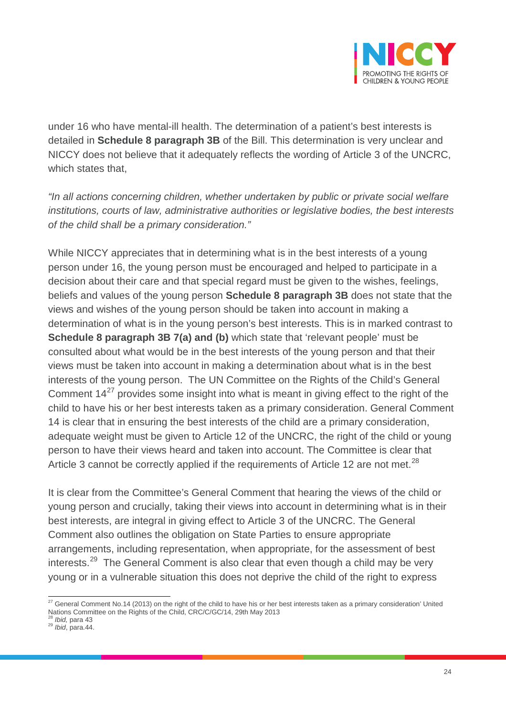

under 16 who have mental-ill health. The determination of a patient's best interests is detailed in **Schedule 8 paragraph 3B** of the Bill. This determination is very unclear and NICCY does not believe that it adequately reflects the wording of Article 3 of the UNCRC, which states that.

*"In all actions concerning children, whether undertaken by public or private social welfare institutions, courts of law, administrative authorities or legislative bodies, the best interests of the child shall be a primary consideration."*

While NICCY appreciates that in determining what is in the best interests of a young person under 16, the young person must be encouraged and helped to participate in a decision about their care and that special regard must be given to the wishes, feelings, beliefs and values of the young person **Schedule 8 paragraph 3B** does not state that the views and wishes of the young person should be taken into account in making a determination of what is in the young person's best interests. This is in marked contrast to **Schedule 8 paragraph 3B 7(a) and (b)** which state that 'relevant people' must be consulted about what would be in the best interests of the young person and that their views must be taken into account in making a determination about what is in the best interests of the young person. The UN Committee on the Rights of the Child's General Comment  $14^{27}$  $14^{27}$  $14^{27}$  provides some insight into what is meant in giving effect to the right of the child to have his or her best interests taken as a primary consideration. General Comment 14 is clear that in ensuring the best interests of the child are a primary consideration, adequate weight must be given to Article 12 of the UNCRC, the right of the child or young person to have their views heard and taken into account. The Committee is clear that Article 3 cannot be correctly applied if the requirements of Article 12 are not met.<sup>[28](#page-23-1)</sup>

It is clear from the Committee's General Comment that hearing the views of the child or young person and crucially, taking their views into account in determining what is in their best interests, are integral in giving effect to Article 3 of the UNCRC. The General Comment also outlines the obligation on State Parties to ensure appropriate arrangements, including representation, when appropriate, for the assessment of best interests.<sup>[29](#page-23-2)</sup> The General Comment is also clear that even though a child may be very young or in a vulnerable situation this does not deprive the child of the right to express

<span id="page-23-0"></span><sup>&</sup>lt;sup>27</sup> General Comment No.14 (2013) on the right of the child to have his or her best interests taken as a primary consideration' United Nations Committee on the Rights of the Child, CRC/C/GC/14, 29th May 2013<br><sup>28</sup> Ibid, para 43

<span id="page-23-2"></span><span id="page-23-1"></span><sup>28</sup> *Ibid,* para 43 <sup>29</sup> *Ibid*, para.44.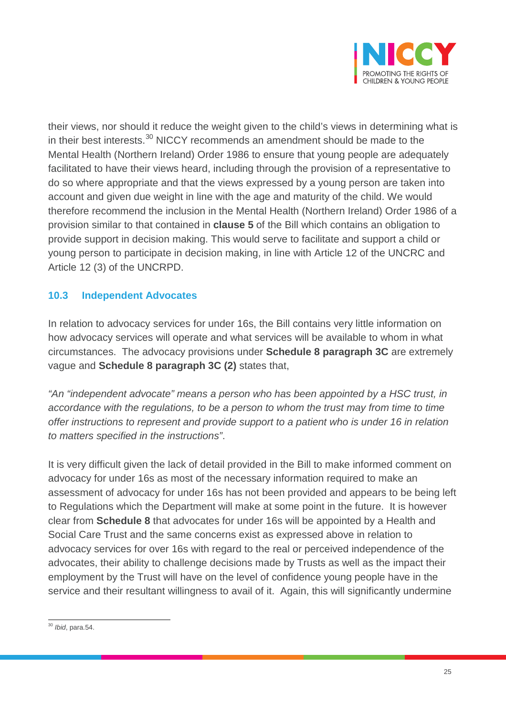

their views, nor should it reduce the weight given to the child's views in determining what is in their best interests.<sup>[30](#page-24-0)</sup> NICCY recommends an amendment should be made to the Mental Health (Northern Ireland) Order 1986 to ensure that young people are adequately facilitated to have their views heard, including through the provision of a representative to do so where appropriate and that the views expressed by a young person are taken into account and given due weight in line with the age and maturity of the child. We would therefore recommend the inclusion in the Mental Health (Northern Ireland) Order 1986 of a provision similar to that contained in **clause 5** of the Bill which contains an obligation to provide support in decision making. This would serve to facilitate and support a child or young person to participate in decision making, in line with Article 12 of the UNCRC and Article 12 (3) of the UNCRPD.

#### **10.3 Independent Advocates**

In relation to advocacy services for under 16s, the Bill contains very little information on how advocacy services will operate and what services will be available to whom in what circumstances. The advocacy provisions under **Schedule 8 paragraph 3C** are extremely vague and **Schedule 8 paragraph 3C (2)** states that,

*"An "independent advocate" means a person who has been appointed by a HSC trust, in accordance with the regulations, to be a person to whom the trust may from time to time offer instructions to represent and provide support to a patient who is under 16 in relation to matters specified in the instructions"*.

It is very difficult given the lack of detail provided in the Bill to make informed comment on advocacy for under 16s as most of the necessary information required to make an assessment of advocacy for under 16s has not been provided and appears to be being left to Regulations which the Department will make at some point in the future. It is however clear from **Schedule 8** that advocates for under 16s will be appointed by a Health and Social Care Trust and the same concerns exist as expressed above in relation to advocacy services for over 16s with regard to the real or perceived independence of the advocates, their ability to challenge decisions made by Trusts as well as the impact their employment by the Trust will have on the level of confidence young people have in the service and their resultant willingness to avail of it. Again, this will significantly undermine

<span id="page-24-0"></span><sup>30</sup> *Ibid*, para.54.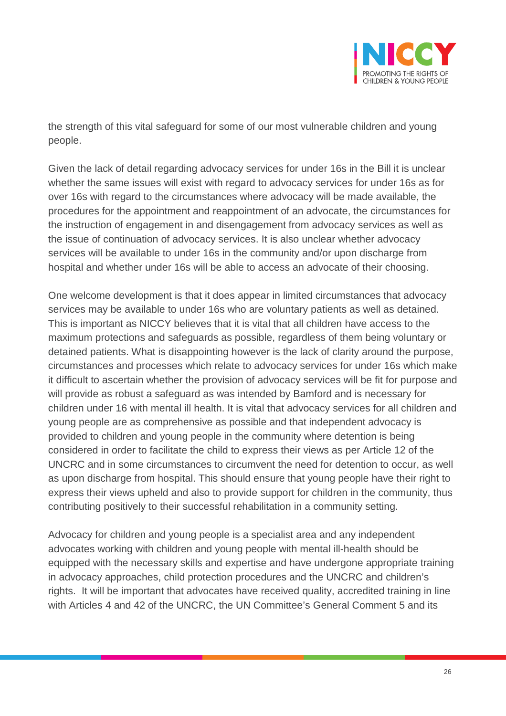

the strength of this vital safeguard for some of our most vulnerable children and young people.

Given the lack of detail regarding advocacy services for under 16s in the Bill it is unclear whether the same issues will exist with regard to advocacy services for under 16s as for over 16s with regard to the circumstances where advocacy will be made available, the procedures for the appointment and reappointment of an advocate, the circumstances for the instruction of engagement in and disengagement from advocacy services as well as the issue of continuation of advocacy services. It is also unclear whether advocacy services will be available to under 16s in the community and/or upon discharge from hospital and whether under 16s will be able to access an advocate of their choosing.

One welcome development is that it does appear in limited circumstances that advocacy services may be available to under 16s who are voluntary patients as well as detained. This is important as NICCY believes that it is vital that all children have access to the maximum protections and safeguards as possible, regardless of them being voluntary or detained patients. What is disappointing however is the lack of clarity around the purpose, circumstances and processes which relate to advocacy services for under 16s which make it difficult to ascertain whether the provision of advocacy services will be fit for purpose and will provide as robust a safeguard as was intended by Bamford and is necessary for children under 16 with mental ill health. It is vital that advocacy services for all children and young people are as comprehensive as possible and that independent advocacy is provided to children and young people in the community where detention is being considered in order to facilitate the child to express their views as per Article 12 of the UNCRC and in some circumstances to circumvent the need for detention to occur, as well as upon discharge from hospital. This should ensure that young people have their right to express their views upheld and also to provide support for children in the community, thus contributing positively to their successful rehabilitation in a community setting.

Advocacy for children and young people is a specialist area and any independent advocates working with children and young people with mental ill-health should be equipped with the necessary skills and expertise and have undergone appropriate training in advocacy approaches, child protection procedures and the UNCRC and children's rights. It will be important that advocates have received quality, accredited training in line with Articles 4 and 42 of the UNCRC, the UN Committee's General Comment 5 and its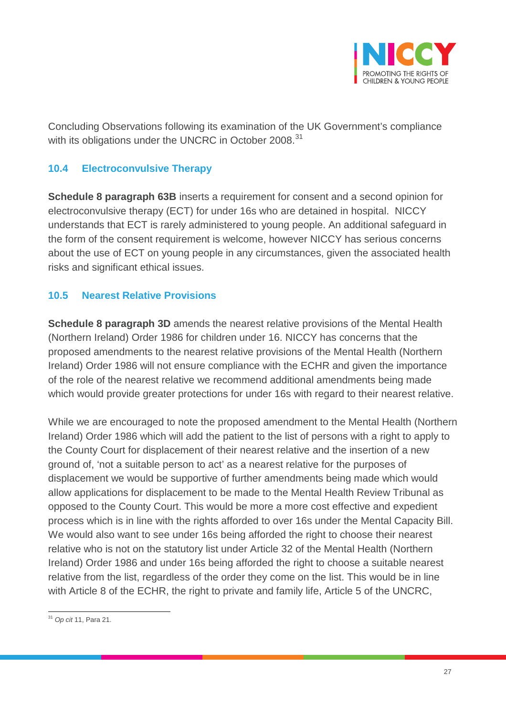

Concluding Observations following its examination of the UK Government's compliance with its obligations under the UNCRC in October 2008.<sup>[31](#page-26-0)</sup>

#### **10.4 Electroconvulsive Therapy**

**Schedule 8 paragraph 63B** inserts a requirement for consent and a second opinion for electroconvulsive therapy (ECT) for under 16s who are detained in hospital. NICCY understands that ECT is rarely administered to young people. An additional safeguard in the form of the consent requirement is welcome, however NICCY has serious concerns about the use of ECT on young people in any circumstances, given the associated health risks and significant ethical issues.

## **10.5 Nearest Relative Provisions**

**Schedule 8 paragraph 3D** amends the nearest relative provisions of the Mental Health (Northern Ireland) Order 1986 for children under 16. NICCY has concerns that the proposed amendments to the nearest relative provisions of the Mental Health (Northern Ireland) Order 1986 will not ensure compliance with the ECHR and given the importance of the role of the nearest relative we recommend additional amendments being made which would provide greater protections for under 16s with regard to their nearest relative.

While we are encouraged to note the proposed amendment to the Mental Health (Northern Ireland) Order 1986 which will add the patient to the list of persons with a right to apply to the County Court for displacement of their nearest relative and the insertion of a new ground of, 'not a suitable person to act' as a nearest relative for the purposes of displacement we would be supportive of further amendments being made which would allow applications for displacement to be made to the Mental Health Review Tribunal as opposed to the County Court. This would be more a more cost effective and expedient process which is in line with the rights afforded to over 16s under the Mental Capacity Bill. We would also want to see under 16s being afforded the right to choose their nearest relative who is not on the statutory list under Article 32 of the Mental Health (Northern Ireland) Order 1986 and under 16s being afforded the right to choose a suitable nearest relative from the list, regardless of the order they come on the list. This would be in line with Article 8 of the ECHR, the right to private and family life, Article 5 of the UNCRC,

<span id="page-26-0"></span><sup>31</sup> *Op cit* 11, Para 21.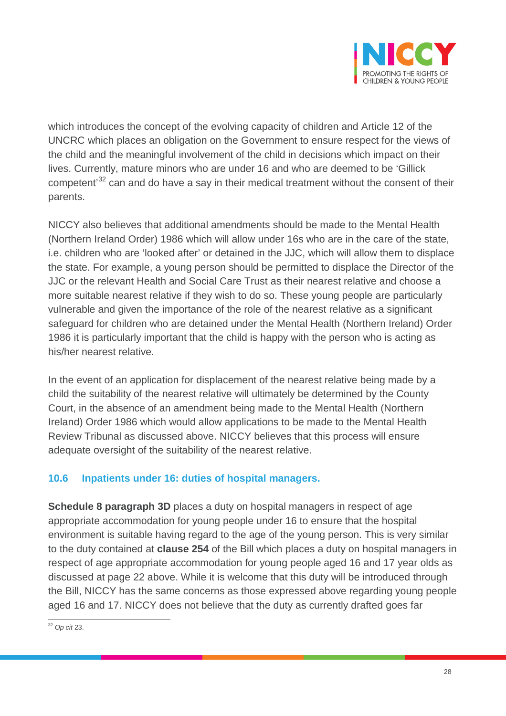

which introduces the concept of the evolving capacity of children and Article 12 of the UNCRC which places an obligation on the Government to ensure respect for the views of the child and the meaningful involvement of the child in decisions which impact on their lives. Currently, mature minors who are under 16 and who are deemed to be 'Gillick competent<sup>[32](#page-27-0)</sup> can and do have a say in their medical treatment without the consent of their parents.

NICCY also believes that additional amendments should be made to the Mental Health (Northern Ireland Order) 1986 which will allow under 16s who are in the care of the state, i.e. children who are 'looked after' or detained in the JJC, which will allow them to displace the state. For example, a young person should be permitted to displace the Director of the JJC or the relevant Health and Social Care Trust as their nearest relative and choose a more suitable nearest relative if they wish to do so. These young people are particularly vulnerable and given the importance of the role of the nearest relative as a significant safeguard for children who are detained under the Mental Health (Northern Ireland) Order 1986 it is particularly important that the child is happy with the person who is acting as his/her nearest relative.

In the event of an application for displacement of the nearest relative being made by a child the suitability of the nearest relative will ultimately be determined by the County Court, in the absence of an amendment being made to the Mental Health (Northern Ireland) Order 1986 which would allow applications to be made to the Mental Health Review Tribunal as discussed above. NICCY believes that this process will ensure adequate oversight of the suitability of the nearest relative.

#### **10.6 Inpatients under 16: duties of hospital managers.**

**Schedule 8 paragraph 3D** places a duty on hospital managers in respect of age appropriate accommodation for young people under 16 to ensure that the hospital environment is suitable having regard to the age of the young person. This is very similar to the duty contained at **clause 254** of the Bill which places a duty on hospital managers in respect of age appropriate accommodation for young people aged 16 and 17 year olds as discussed at page 22 above. While it is welcome that this duty will be introduced through the Bill, NICCY has the same concerns as those expressed above regarding young people aged 16 and 17. NICCY does not believe that the duty as currently drafted goes far

<span id="page-27-0"></span><sup>32</sup> *Op cit* 23.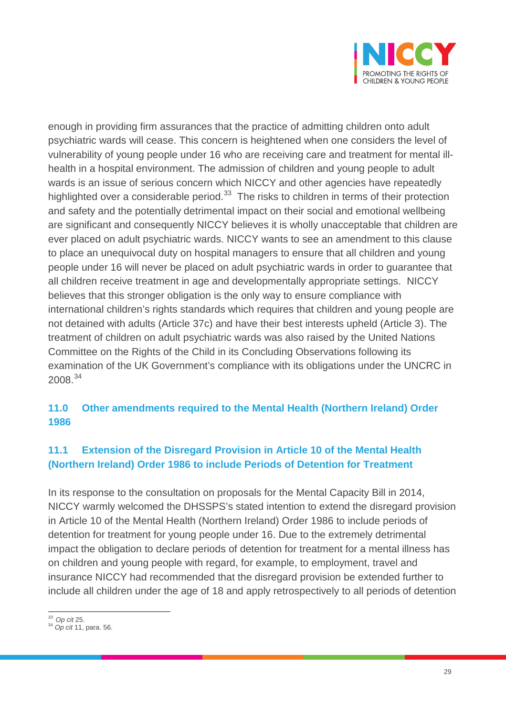

enough in providing firm assurances that the practice of admitting children onto adult psychiatric wards will cease. This concern is heightened when one considers the level of vulnerability of young people under 16 who are receiving care and treatment for mental illhealth in a hospital environment. The admission of children and young people to adult wards is an issue of serious concern which NICCY and other agencies have repeatedly highlighted over a considerable period. $33$  The risks to children in terms of their protection and safety and the potentially detrimental impact on their social and emotional wellbeing are significant and consequently NICCY believes it is wholly unacceptable that children are ever placed on adult psychiatric wards. NICCY wants to see an amendment to this clause to place an unequivocal duty on hospital managers to ensure that all children and young people under 16 will never be placed on adult psychiatric wards in order to guarantee that all children receive treatment in age and developmentally appropriate settings. NICCY believes that this stronger obligation is the only way to ensure compliance with international children's rights standards which requires that children and young people are not detained with adults (Article 37c) and have their best interests upheld (Article 3). The treatment of children on adult psychiatric wards was also raised by the United Nations Committee on the Rights of the Child in its Concluding Observations following its examination of the UK Government's compliance with its obligations under the UNCRC in 2008.[34](#page-28-1)

## **11.0 Other amendments required to the Mental Health (Northern Ireland) Order 1986**

## **11.1 Extension of the Disregard Provision in Article 10 of the Mental Health (Northern Ireland) Order 1986 to include Periods of Detention for Treatment**

In its response to the consultation on proposals for the Mental Capacity Bill in 2014, NICCY warmly welcomed the DHSSPS's stated intention to extend the disregard provision in Article 10 of the Mental Health (Northern Ireland) Order 1986 to include periods of detention for treatment for young people under 16. Due to the extremely detrimental impact the obligation to declare periods of detention for treatment for a mental illness has on children and young people with regard, for example, to employment, travel and insurance NICCY had recommended that the disregard provision be extended further to include all children under the age of 18 and apply retrospectively to all periods of detention

<span id="page-28-1"></span><span id="page-28-0"></span>*<sup>33</sup> Op cit* 25. <sup>34</sup> *Op cit* 11, para. 56.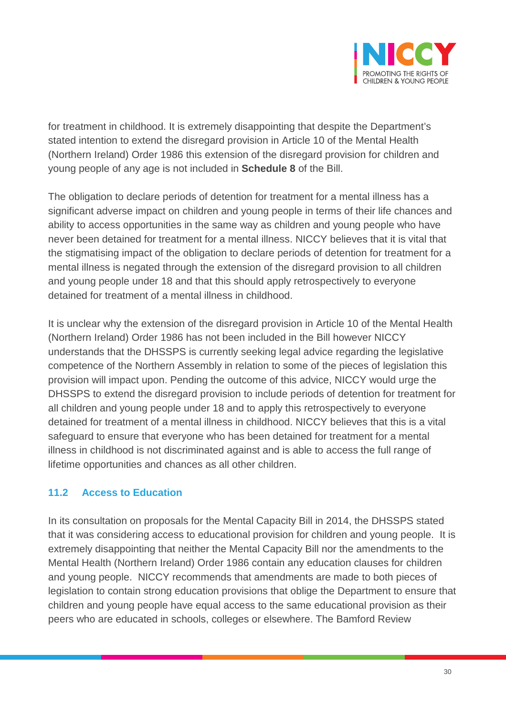

for treatment in childhood. It is extremely disappointing that despite the Department's stated intention to extend the disregard provision in Article 10 of the Mental Health (Northern Ireland) Order 1986 this extension of the disregard provision for children and young people of any age is not included in **Schedule 8** of the Bill.

The obligation to declare periods of detention for treatment for a mental illness has a significant adverse impact on children and young people in terms of their life chances and ability to access opportunities in the same way as children and young people who have never been detained for treatment for a mental illness. NICCY believes that it is vital that the stigmatising impact of the obligation to declare periods of detention for treatment for a mental illness is negated through the extension of the disregard provision to all children and young people under 18 and that this should apply retrospectively to everyone detained for treatment of a mental illness in childhood.

It is unclear why the extension of the disregard provision in Article 10 of the Mental Health (Northern Ireland) Order 1986 has not been included in the Bill however NICCY understands that the DHSSPS is currently seeking legal advice regarding the legislative competence of the Northern Assembly in relation to some of the pieces of legislation this provision will impact upon. Pending the outcome of this advice, NICCY would urge the DHSSPS to extend the disregard provision to include periods of detention for treatment for all children and young people under 18 and to apply this retrospectively to everyone detained for treatment of a mental illness in childhood. NICCY believes that this is a vital safeguard to ensure that everyone who has been detained for treatment for a mental illness in childhood is not discriminated against and is able to access the full range of lifetime opportunities and chances as all other children.

#### **11.2 Access to Education**

In its consultation on proposals for the Mental Capacity Bill in 2014, the DHSSPS stated that it was considering access to educational provision for children and young people. It is extremely disappointing that neither the Mental Capacity Bill nor the amendments to the Mental Health (Northern Ireland) Order 1986 contain any education clauses for children and young people. NICCY recommends that amendments are made to both pieces of legislation to contain strong education provisions that oblige the Department to ensure that children and young people have equal access to the same educational provision as their peers who are educated in schools, colleges or elsewhere. The Bamford Review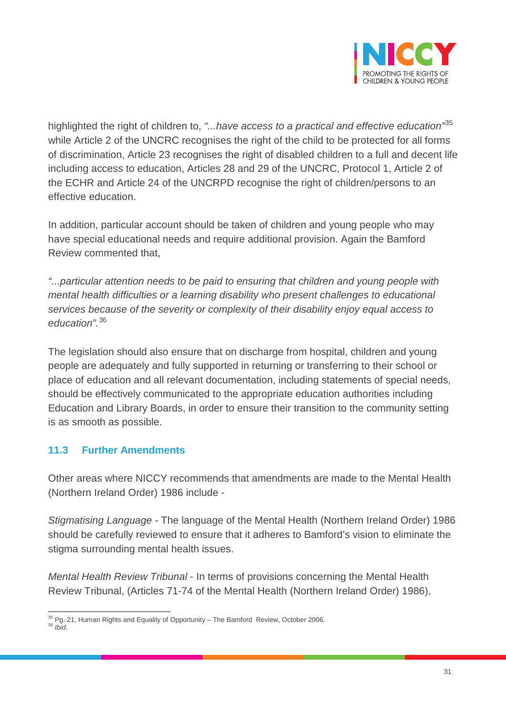

highlighted the right of children to, *"...have access to a practical and effective education"*[35](#page-30-0) while Article 2 of the UNCRC recognises the right of the child to be protected for all forms of discrimination, Article 23 recognises the right of disabled children to a full and decent life including access to education, Articles 28 and 29 of the UNCRC, Protocol 1, Article 2 of the ECHR and Article 24 of the UNCRPD recognise the right of children/persons to an effective education.

In addition, particular account should be taken of children and young people who may have special educational needs and require additional provision. Again the Bamford Review commented that,

*"...particular attention needs to be paid to ensuring that children and young people with mental health difficulties or a learning disability who present challenges to educational services because of the severity or complexity of their disability enjoy equal access to education".*[36](#page-30-1)

The legislation should also ensure that on discharge from hospital, children and young people are adequately and fully supported in returning or transferring to their school or place of education and all relevant documentation, including statements of special needs, should be effectively communicated to the appropriate education authorities including Education and Library Boards, in order to ensure their transition to the community setting is as smooth as possible.

## **11.3 Further Amendments**

Other areas where NICCY recommends that amendments are made to the Mental Health (Northern Ireland Order) 1986 include -

*Stigmatising Language -* The language of the Mental Health (Northern Ireland Order) 1986 should be carefully reviewed to ensure that it adheres to Bamford's vision to eliminate the stigma surrounding mental health issues.

*Mental Health Review Tribunal* - In terms of provisions concerning the Mental Health Review Tribunal, (Articles 71-74 of the Mental Health (Northern Ireland Order) 1986),

<span id="page-30-0"></span><sup>&</sup>lt;sup>35</sup> Pg. 21, Human Rights and Equality of Opportunity – The Bamford Review, October 2006.<br><sup>36</sup> *Ibid* 

<span id="page-30-1"></span>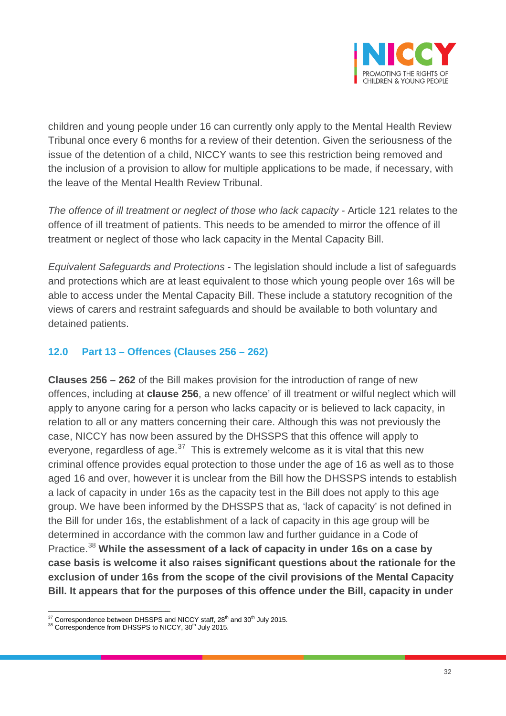

children and young people under 16 can currently only apply to the Mental Health Review Tribunal once every 6 months for a review of their detention. Given the seriousness of the issue of the detention of a child, NICCY wants to see this restriction being removed and the inclusion of a provision to allow for multiple applications to be made, if necessary, with the leave of the Mental Health Review Tribunal.

*The offence of ill treatment or neglect of those who lack capacity -* Article 121 relates to the offence of ill treatment of patients. This needs to be amended to mirror the offence of ill treatment or neglect of those who lack capacity in the Mental Capacity Bill.

*Equivalent Safeguards and Protections -* The legislation should include a list of safeguards and protections which are at least equivalent to those which young people over 16s will be able to access under the Mental Capacity Bill. These include a statutory recognition of the views of carers and restraint safeguards and should be available to both voluntary and detained patients.

#### **12.0 Part 13 – Offences (Clauses 256 – 262)**

**Clauses 256 – 262** of the Bill makes provision for the introduction of range of new offences, including at **clause 256**, a new offence' of ill treatment or wilful neglect which will apply to anyone caring for a person who lacks capacity or is believed to lack capacity, in relation to all or any matters concerning their care. Although this was not previously the case, NICCY has now been assured by the DHSSPS that this offence will apply to everyone, regardless of age. $37$  This is extremely welcome as it is vital that this new criminal offence provides equal protection to those under the age of 16 as well as to those aged 16 and over, however it is unclear from the Bill how the DHSSPS intends to establish a lack of capacity in under 16s as the capacity test in the Bill does not apply to this age group. We have been informed by the DHSSPS that as, 'lack of capacity' is not defined in the Bill for under 16s, the establishment of a lack of capacity in this age group will be determined in accordance with the common law and further guidance in a Code of Practice.[38](#page-31-1) **While the assessment of a lack of capacity in under 16s on a case by case basis is welcome it also raises significant questions about the rationale for the exclusion of under 16s from the scope of the civil provisions of the Mental Capacity Bill. It appears that for the purposes of this offence under the Bill, capacity in under** 

<span id="page-31-0"></span> $37$  Correspondence between DHSSPS and NICCY staff,  $28<sup>th</sup>$  and  $30<sup>th</sup>$  July 2015.

<span id="page-31-1"></span><sup>38</sup> Correspondence from DHSSPS to NICCY, 30<sup>th</sup> July 2015.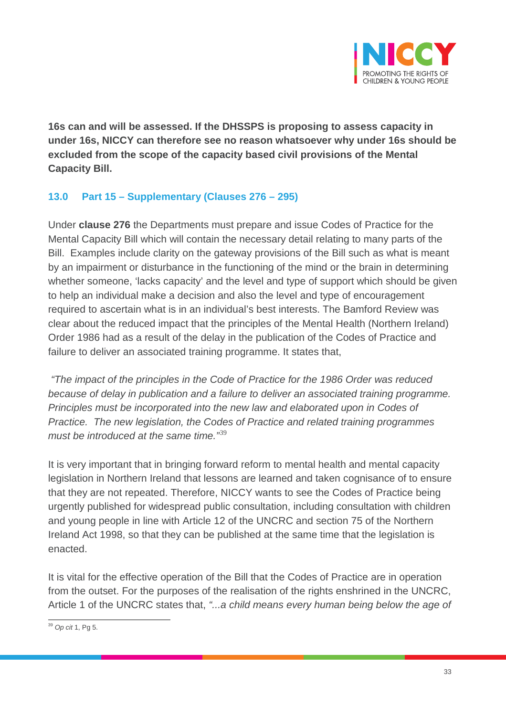

**16s can and will be assessed. If the DHSSPS is proposing to assess capacity in under 16s, NICCY can therefore see no reason whatsoever why under 16s should be excluded from the scope of the capacity based civil provisions of the Mental Capacity Bill.** 

## **13.0 Part 15 – Supplementary (Clauses 276 – 295)**

Under **clause 276** the Departments must prepare and issue Codes of Practice for the Mental Capacity Bill which will contain the necessary detail relating to many parts of the Bill. Examples include clarity on the gateway provisions of the Bill such as what is meant by an impairment or disturbance in the functioning of the mind or the brain in determining whether someone, 'lacks capacity' and the level and type of support which should be given to help an individual make a decision and also the level and type of encouragement required to ascertain what is in an individual's best interests. The Bamford Review was clear about the reduced impact that the principles of the Mental Health (Northern Ireland) Order 1986 had as a result of the delay in the publication of the Codes of Practice and failure to deliver an associated training programme. It states that,

*"The impact of the principles in the Code of Practice for the 1986 Order was reduced because of delay in publication and a failure to deliver an associated training programme. Principles must be incorporated into the new law and elaborated upon in Codes of Practice. The new legislation, the Codes of Practice and related training programmes must be introduced at the same time."*[39](#page-32-0)

It is very important that in bringing forward reform to mental health and mental capacity legislation in Northern Ireland that lessons are learned and taken cognisance of to ensure that they are not repeated. Therefore, NICCY wants to see the Codes of Practice being urgently published for widespread public consultation, including consultation with children and young people in line with Article 12 of the UNCRC and section 75 of the Northern Ireland Act 1998, so that they can be published at the same time that the legislation is enacted.

It is vital for the effective operation of the Bill that the Codes of Practice are in operation from the outset. For the purposes of the realisation of the rights enshrined in the UNCRC, Article 1 of the UNCRC states that, *"...a child means every human being below the age of* 

<span id="page-32-0"></span><sup>39</sup> *Op cit* 1, Pg 5.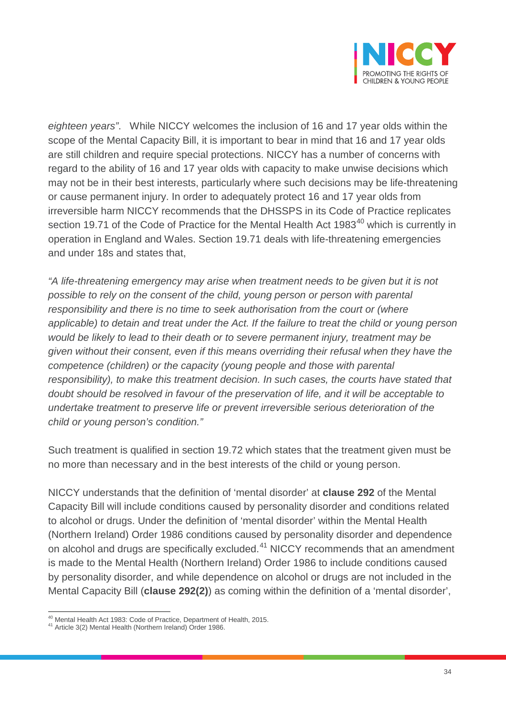

*eighteen years"*. While NICCY welcomes the inclusion of 16 and 17 year olds within the scope of the Mental Capacity Bill, it is important to bear in mind that 16 and 17 year olds are still children and require special protections. NICCY has a number of concerns with regard to the ability of 16 and 17 year olds with capacity to make unwise decisions which may not be in their best interests, particularly where such decisions may be life-threatening or cause permanent injury. In order to adequately protect 16 and 17 year olds from irreversible harm NICCY recommends that the DHSSPS in its Code of Practice replicates section 19.71 of the Code of Practice for the Mental Health Act 1983 $^{40}$  $^{40}$  $^{40}$  which is currently in operation in England and Wales. Section 19.71 deals with life-threatening emergencies and under 18s and states that,

*"A life-threatening emergency may arise when treatment needs to be given but it is not possible to rely on the consent of the child, young person or person with parental responsibility and there is no time to seek authorisation from the court or (where applicable) to detain and treat under the Act. If the failure to treat the child or young person would be likely to lead to their death or to severe permanent injury, treatment may be given without their consent, even if this means overriding their refusal when they have the competence (children) or the capacity (young people and those with parental responsibility), to make this treatment decision. In such cases, the courts have stated that doubt should be resolved in favour of the preservation of life, and it will be acceptable to undertake treatment to preserve life or prevent irreversible serious deterioration of the child or young person's condition."* 

Such treatment is qualified in section 19.72 which states that the treatment given must be no more than necessary and in the best interests of the child or young person.

NICCY understands that the definition of 'mental disorder' at **clause 292** of the Mental Capacity Bill will include conditions caused by personality disorder and conditions related to alcohol or drugs. Under the definition of 'mental disorder' within the Mental Health (Northern Ireland) Order 1986 conditions caused by personality disorder and dependence on alcohol and drugs are specifically excluded.<sup>[41](#page-33-1)</sup> NICCY recommends that an amendment is made to the Mental Health (Northern Ireland) Order 1986 to include conditions caused by personality disorder, and while dependence on alcohol or drugs are not included in the Mental Capacity Bill (**clause 292(2)**) as coming within the definition of a 'mental disorder',

<span id="page-33-0"></span><sup>40</sup> Mental Health Act 1983: Code of Practice, Department of Health, 2015.

<span id="page-33-1"></span><sup>41</sup> Article 3(2) Mental Health (Northern Ireland) Order 1986.